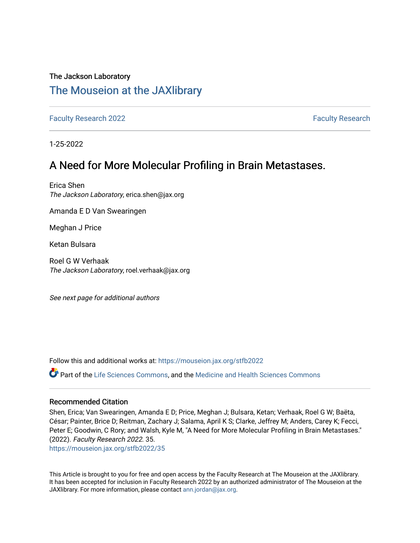## The Jackson Laboratory

# [The Mouseion at the JAXlibrary](https://mouseion.jax.org/)

[Faculty Research 2022](https://mouseion.jax.org/stfb2022) **[Faculty Research](https://mouseion.jax.org/fac_research) 2022** Faculty Research

1-25-2022

# A Need for More Molecular Profiling in Brain Metastases.

Erica Shen The Jackson Laboratory, erica.shen@jax.org

Amanda E D Van Swearingen

Meghan J Price

Ketan Bulsara

Roel G W Verhaak The Jackson Laboratory, roel.verhaak@jax.org

See next page for additional authors

Follow this and additional works at: [https://mouseion.jax.org/stfb2022](https://mouseion.jax.org/stfb2022?utm_source=mouseion.jax.org%2Fstfb2022%2F35&utm_medium=PDF&utm_campaign=PDFCoverPages)

Part of the [Life Sciences Commons,](http://network.bepress.com/hgg/discipline/1016?utm_source=mouseion.jax.org%2Fstfb2022%2F35&utm_medium=PDF&utm_campaign=PDFCoverPages) and the [Medicine and Health Sciences Commons](http://network.bepress.com/hgg/discipline/648?utm_source=mouseion.jax.org%2Fstfb2022%2F35&utm_medium=PDF&utm_campaign=PDFCoverPages)

#### Recommended Citation

Shen, Erica; Van Swearingen, Amanda E D; Price, Meghan J; Bulsara, Ketan; Verhaak, Roel G W; Baëta, César; Painter, Brice D; Reitman, Zachary J; Salama, April K S; Clarke, Jeffrey M; Anders, Carey K; Fecci, Peter E; Goodwin, C Rory; and Walsh, Kyle M, "A Need for More Molecular Profiling in Brain Metastases." (2022). Faculty Research 2022. 35.

[https://mouseion.jax.org/stfb2022/35](https://mouseion.jax.org/stfb2022/35?utm_source=mouseion.jax.org%2Fstfb2022%2F35&utm_medium=PDF&utm_campaign=PDFCoverPages) 

This Article is brought to you for free and open access by the Faculty Research at The Mouseion at the JAXlibrary. It has been accepted for inclusion in Faculty Research 2022 by an authorized administrator of The Mouseion at the JAXlibrary. For more information, please contact [ann.jordan@jax.org](mailto:ann.jordan@jax.org).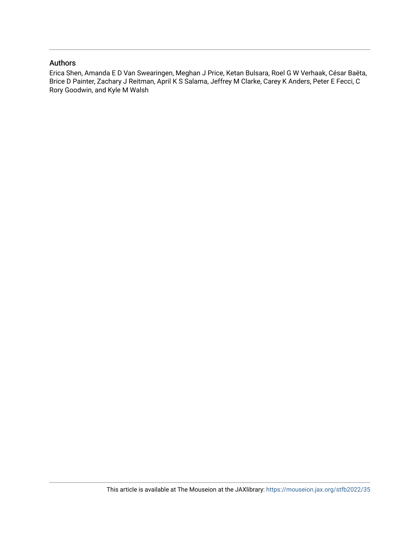#### Authors

Erica Shen, Amanda E D Van Swearingen, Meghan J Price, Ketan Bulsara, Roel G W Verhaak, César Baëta, Brice D Painter, Zachary J Reitman, April K S Salama, Jeffrey M Clarke, Carey K Anders, Peter E Fecci, C Rory Goodwin, and Kyle M Walsh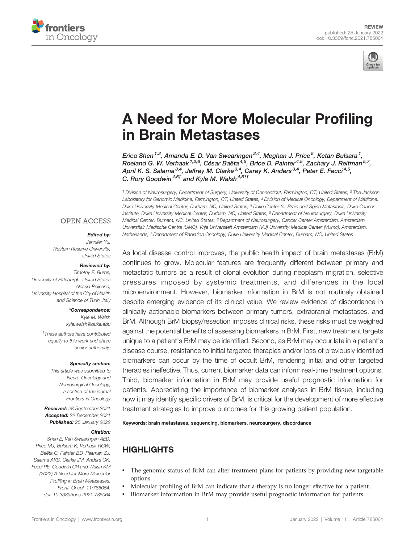



# [A Need for More Molecular Pro](https://www.frontiersin.org/articles/10.3389/fonc.2021.785064/full)filing [in Brain Metastases](https://www.frontiersin.org/articles/10.3389/fonc.2021.785064/full)

Erica Shen <sup>1,2</sup>, Amanda E. D. Van Swearingen <sup>3,4</sup>, Meghan J. Price <sup>5</sup>, Ketan Bulsara <sup>1</sup>, Roeland G. W. Verhaak <sup>1,2,6</sup>, César Baëta <sup>4,5</sup>, Brice D. Painter <sup>4,5</sup>, Zachary J. Reitman 5,7, April K. S. Salama<sup>3,4</sup>, Jeffrey M. Clarke<sup>3,4</sup>, Carey K. Anders<sup>3,4</sup>, Peter E. Fecci<sup>4,5</sup>, C. Rory Goodwin<sup>4,5†</sup> and Kyle M. Walsh<sup>4,5\*†</sup>

<sup>1</sup> Division of Neurosurgery, Department of Surgery, University of Connecticut, Farmington, CT, United States, <sup>2</sup> The Jackson Laboratory for Genomic Medicine, Farmington, CT, United States, <sup>3</sup> Division of Medical Oncology, Department of Medicine, Duke University Medical Center, Durham, NC, United States, <sup>4</sup> Duke Center for Brain and Spine Metastasis, Duke Cancer Institute, Duke University Medical Center, Durham, NC, United States, <sup>5</sup> Department of Neurosurgery, Duke University Medical Center, Durham, NC, United States, <sup>6</sup> Department of Neurosurgery, Cancer Center Amsterdam, Amsterdam Universitair Medische Centra (UMC), Vrije Universiteit Amsterdam (VU) University Medical Center (VUmc), Amsterdam, Netherlands, <sup>7</sup> Department of Radiation Oncology, Duke University Medical Center, Durham, NC, United States

#### **OPEN ACCESS**

#### Edited by:

Jennifer Yu, Western Reserve University, United States

#### Reviewed by:

Timothy F. Burns, University of Pittsburgh, United States Alessia Pellerino, University Hospital of the City of Health and Science of Turin, Italy

#### \*Correspondence:

Kyle M. Walsh [kyle.walsh@duke.edu](mailto:kyle.walsh@duke.edu)

† These authors have contributed equally to this work and share senior authorship

#### Specialty section:

This article was submitted to Neuro-Oncology and Neurosurgical Oncology, a section of the journal Frontiers in Oncology

Received: 28 September 2021 Accepted: 22 December 2021 Published: 25 January 2022

#### Citation:

Shen E, Van Swearingen AED, Price MJ, Bulsara K, Verhaak RGW, Baëta C, Painter BD, Reitman ZJ, Salama AKS, Clarke JM, Anders CK, Fecci PE, Goodwin CR and Walsh KM (2022) A Need for More Molecular Profiling in Brain Metastases. Front. Oncol. 11:785064. [doi: 10.3389/fonc.2021.785064](https://doi.org/10.3389/fonc.2021.785064)

As local disease control improves, the public health impact of brain metastases (BrM) continues to grow. Molecular features are frequently different between primary and metastatic tumors as a result of clonal evolution during neoplasm migration, selective pressures imposed by systemic treatments, and differences in the local microenvironment. However, biomarker information in BrM is not routinely obtained despite emerging evidence of its clinical value. We review evidence of discordance in clinically actionable biomarkers between primary tumors, extracranial metastases, and BrM. Although BrM biopsy/resection imposes clinical risks, these risks must be weighed against the potential benefits of assessing biomarkers in BrM. First, new treatment targets unique to a patient's BrM may be identified. Second, as BrM may occur late in a patient's disease course, resistance to initial targeted therapies and/or loss of previously identified biomarkers can occur by the time of occult BrM, rendering initial and other targeted therapies ineffective. Thus, current biomarker data can inform real-time treatment options. Third, biomarker information in BrM may provide useful prognostic information for patients. Appreciating the importance of biomarker analyses in BrM tissue, including how it may identify specific drivers of BrM, is critical for the development of more effective treatment strategies to improve outcomes for this growing patient population.

Keywords: brain metastases, sequencing, biomarkers, neurosurgery, discordance

# **HIGHLIGHTS**

- The genomic status of BrM can alter treatment plans for patients by providing new targetable options.
- Molecular profiling of BrM can indicate that a therapy is no longer effective for a patient.
- Biomarker information in BrM may provide useful prognostic information for patients.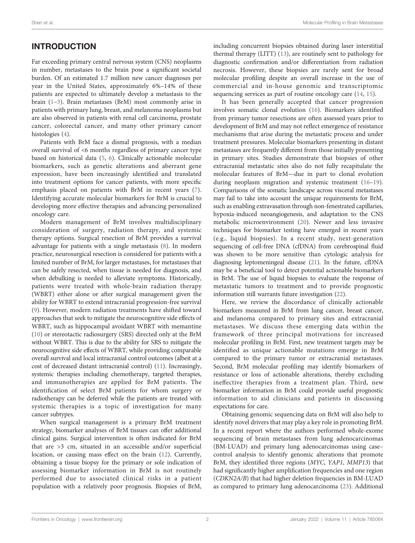# INTRODUCTION

Far exceeding primary central nervous system (CNS) neoplasms in number, metastases to the brain pose a significant societal burden. Of an estimated 1.7 million new cancer diagnoses per year in the United States, approximately 6%–14% of these patients are expected to ultimately develop a metastasis to the brain ([1](#page-9-0)–[3\)](#page-9-0). Brain metastases (BrM) most commonly arise in patients with primary lung, breast, and melanoma neoplasms but are also observed in patients with renal cell carcinoma, prostate cancer, colorectal cancer, and many other primary cancer histologies [\(4\)](#page-9-0).

Patients with BrM face a dismal prognosis, with a median overall survival of <6 months regardless of primary cancer type based on historical data ([5](#page-9-0), [6\)](#page-9-0). Clinically actionable molecular biomarkers, such as genetic alterations and aberrant gene expression, have been increasingly identified and translated into treatment options for cancer patients, with more specific emphasis placed on patients with BrM in recent years [\(7\)](#page-9-0). Identifying accurate molecular biomarkers for BrM is crucial to developing more effective therapies and advancing personalized oncology care.

Modern management of BrM involves multidisciplinary consideration of surgery, radiation therapy, and systemic therapy options. Surgical resection of BrM provides a survival advantage for patients with a single metastasis ([8](#page-9-0)). In modern practice, neurosurgical resection is considered for patients with a limited number of BrM, for larger metastases, for metastases that can be safely resected, when tissue is needed for diagnosis, and when debulking is needed to alleviate symptoms. Historically, patients were treated with whole-brain radiation therapy (WBRT) either alone or after surgical management given the ability for WBRT to extend intracranial progression-free survival ([9](#page-9-0)). However, modern radiation treatments have shifted toward approaches that seek to mitigate the neurocognitive side effects of WBRT, such as hippocampal avoidant WBRT with memantine ([10\)](#page-9-0) or stereotactic radiosurgery (SRS) directed only at the BrM without WBRT. This is due to the ability for SRS to mitigate the neurocognitive side effects of WBRT, while providing comparable overall survival and local intracranial control outcomes (albeit at a cost of decreased distant intracranial control) ([11\)](#page-9-0). Increasingly, systemic therapies including chemotherapy, targeted therapies, and immunotherapies are applied for BrM patients. The identification of select BrM patients for whom surgery or radiotherapy can be deferred while the patients are treated with systemic therapies is a topic of investigation for many cancer subtypes.

When surgical management is a primary BrM treatment strategy, biomarker analyses of BrM tissues can offer additional clinical gains. Surgical intervention is often indicated for BrM that are >3 cm, situated in an accessible and/or superficial location, or causing mass effect on the brain ([12\)](#page-10-0). Currently, obtaining a tissue biopsy for the primary or sole indication of assessing biomarker information in BrM is not routinely performed due to associated clinical risks in a patient population with a relatively poor prognosis. Biopsies of BrM,

including concurrent biopsies obtained during laser interstitial thermal therapy (LITT) [\(13](#page-10-0)), are routinely sent to pathology for diagnostic confirmation and/or differentiation from radiation necrosis. However, these biopsies are rarely sent for broad molecular profiling despite an overall increase in the use of commercial and in-house genomic and transcriptomic sequencing services as part of routine oncology care ([14,](#page-10-0) [15\)](#page-10-0).

It has been generally accepted that cancer progression involves somatic clonal evolution ([16\)](#page-10-0). Biomarkers identified from primary tumor resections are often assessed years prior to development of BrM and may not reflect emergence of resistance mechanisms that arise during the metastatic process and under treatment pressures. Molecular biomarkers presenting in distant metastases are frequently different from those initially presenting in primary sites. Studies demonstrate that biopsies of other extracranial metastatic sites also do not fully recapitulate the molecular features of BrM—due in part to clonal evolution during neoplasm migration and systemic treatment ([16](#page-10-0)–[19\)](#page-10-0). Comparisons of the somatic landscape across visceral metastases may fail to take into account the unique requirements for BrM, such as enabling extravasation through non-fenestrated capillaries, hypoxia-induced neoangiogenesis, and adaptation to the CNS metabolic microenvironment [\(20\)](#page-10-0). Newer and less invasive techniques for biomarker testing have emerged in recent years (e.g., liquid biopsies). In a recent study, next-generation sequencing of cell-free DNA (cfDNA) from cerebrospinal fluid was shown to be more sensitive than cytologic analysis for diagnosing leptomeningeal disease [\(21](#page-10-0)). In the future, cfDNA may be a beneficial tool to detect potential actionable biomarkers in BrM. The use of liquid biopsies to evaluate the response of metastatic tumors to treatment and to provide prognostic information still warrants future investigation [\(22](#page-10-0)).

Here, we review the discordance of clinically actionable biomarkers measured in BrM from lung cancer, breast cancer, and melanoma compared to primary sites and extracranial metastases. We discuss these emerging data within the framework of three principal motivations for increased molecular profiling in BrM. First, new treatment targets may be identified as unique actionable mutations emerge in BrM compared to the primary tumor or extracranial metastases. Second, BrM molecular profiling may identify biomarkers of resistance or loss of actionable alterations, thereby excluding ineffective therapies from a treatment plan. Third, new biomarker information in BrM could provide useful prognostic information to aid clinicians and patients in discussing expectations for care.

Obtaining genomic sequencing data on BrM will also help to identify novel drivers that may play a key role in promoting BrM. In a recent report where the authors performed whole-exome sequencing of brain metastases from lung adenocarcinomas (BM-LUAD) and primary lung adenocarcinomas using case– control analysis to identify genomic alterations that promote BrM, they identified three regions (MYC, YAP1, MMP13) that had significantly higher amplification frequencies and one region (CDKN2A/B) that had higher deletion frequencies in BM-LUAD as compared to primary lung adenocarcinoma ([23\)](#page-10-0). Additional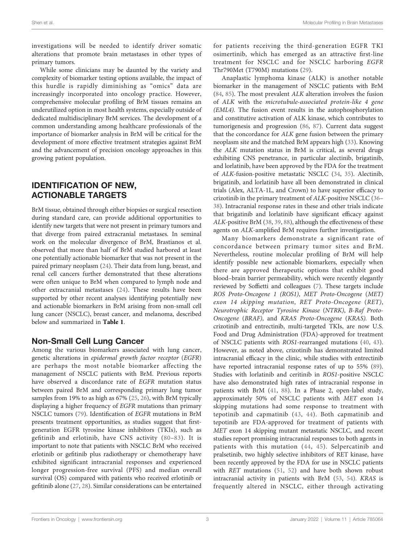investigations will be needed to identify driver somatic alterations that promote brain metastases in other types of primary tumors.

While some clinicians may be daunted by the variety and complexity of biomarker testing options available, the impact of this hurdle is rapidly diminishing as "omics" data are increasingly incorporated into oncology practice. However, comprehensive molecular profiling of BrM tissues remains an underutilized option in most health systems, especially outside of dedicated multidisciplinary BrM services. The development of a common understanding among healthcare professionals of the importance of biomarker analysis in BrM will be critical for the development of more effective treatment strategies against BrM and the advancement of precision oncology approaches in this growing patient population.

## IDENTIFICATION OF NEW, ACTIONABLE TARGETS

BrM tissue, obtained through either biopsies or surgical resection during standard care, can provide additional opportunities to identify new targets that were not present in primary tumors and that diverge from paired extracranial metastases. In seminal work on the molecular divergence of BrM, Brastianos et al. observed that more than half of BrM studied harbored at least one potentially actionable biomarker that was not present in the paired primary neoplasm ([24\)](#page-10-0). Their data from lung, breast, and renal cell cancers further demonstrated that these alterations were often unique to BrM when compared to lymph node and other extracranial metastases ([24](#page-10-0)). These results have been supported by other recent analyses identifying potentially new and actionable biomarkers in BrM arising from non-small cell lung cancer (NSCLC), breast cancer, and melanoma, described below and summarized in [Table 1](#page-5-0).

## Non-Small Cell Lung Cancer

Among the various biomarkers associated with lung cancer, genetic alterations in epidermal growth factor receptor (EGFR) are perhaps the most notable biomarker affecting the management of NSCLC patients with BrM. Previous reports have observed a discordance rate of EGFR mutation status between paired BrM and corresponding primary lung tumor samples from 19% to as high as 67% [\(25](#page-10-0), [26\)](#page-10-0), with BrM typically displaying a higher frequency of EGFR mutations than primary NSCLC tumors [\(79](#page-11-0)). Identification of EGFR mutations in BrM presents treatment opportunities, as studies suggest that firstgeneration EGFR tyrosine kinase inhibitors (TKIs), such as gefitinib and erlotinib, have CNS activity ([80](#page-11-0)–[83\)](#page-11-0). It is important to note that patients with NSCLC BrM who received erlotinib or gefitinib plus radiotherapy or chemotherapy have exhibited significant intracranial responses and experienced longer progression-free survival (PFS) and median overall survival (OS) compared with patients who received erlotinib or gefitinib alone [\(27](#page-10-0), [28](#page-10-0)). Similar considerations can be entertained

for patients receiving the third-generation EGFR TKI osimertinib, which has emerged as an attractive first-line treatment for NSCLC and for NSCLC harboring EGFR Thr790Met (T790M) mutations [\(29](#page-10-0)).

Anaplastic lymphoma kinase (ALK) is another notable biomarker in the management of NSCLC patients with BrM [\(84,](#page-11-0) [85\)](#page-11-0). The most prevalent ALK alteration involves the fusion of ALK with the microtubule-associated protein-like 4 gene (EML4). The fusion event results in the autophosphorylation and constitutive activation of ALK kinase, which contributes to tumorigenesis and progression ([86,](#page-12-0) [87](#page-12-0)). Current data suggest that the concordance for ALK gene fusion between the primary neoplasm site and the matched BrM appears high ([33\)](#page-10-0). Knowing the ALK mutation status in BrM is critical, as several drugs exhibiting CNS penetrance, in particular alectinib, brigatinib, and lorlatinib, have been approved by the FDA for the treatment of ALK-fusion-positive metastatic NSCLC ([34](#page-10-0), [35\)](#page-10-0). Alectinib, brigatinib, and lorlatinib have all been demonstrated in clinical trials (Alex, ALTA-1L, and Crown) to have superior efficacy to crizotinib in the primary treatment of ALK-positive NSCLC ([36](#page-10-0)– [38](#page-10-0)). Intracranial response rates in these and other trials indicate that brigatinib and lorlatinib have significant efficacy against ALK-positive BrM ([38,](#page-10-0) [39](#page-10-0), [88](#page-12-0)), although the effectiveness of these agents on ALK-amplified BrM requires further investigation.

Many biomarkers demonstrate a significant rate of concordance between primary tumor sites and BrM. Nevertheless, routine molecular profiling of BrM will help identify possible new actionable biomarkers, especially when there are approved therapeutic options that exhibit good blood–brain barrier permeability, which were recently elegantly reviewed by Soffietti and colleagues ([7\)](#page-9-0). These targets include ROS Proto-Oncogene 1 (ROS1), MET Proto-Oncogene (MET) exon 14 skipping mutation, RET Proto-Oncogene (RET), Neurotrophic Receptor Tyrosine Kinase (NTRK), B-Raf Proto-Oncogene (BRAF), and KRAS Proto-Oncogene (KRAS). Both crizotinib and entrectinib, multi-targeted TKIs, are now U.S. Food and Drug Administration (FDA)-approved for treatment of NSCLC patients with ROS1-rearranged mutations [\(40](#page-10-0), [43\)](#page-10-0). However, as noted above, crizotinib has demonstrated limited intracranial efficacy in the clinic, while studies with entrectinib have reported intracranial response rates of up to 55% [\(89\)](#page-12-0). Studies with lorlatinib and ceritinib in ROS1-positive NSCLC have also demonstrated high rates of intracranial response in patients with BrM ([41,](#page-10-0) [88\)](#page-12-0). In a Phase 2, open-label study, approximately 50% of NSCLC patients with MET exon 14 skipping mutations had some response to treatment with tepotinib and capmatinib [\(43](#page-10-0), [44](#page-10-0)). Both capmatinib and tepotinib are FDA-approved for treatment of patients with MET exon 14 skipping mutant metastatic NSCLC, and recent studies report promising intracranial responses to both agents in patients with this mutation ([44](#page-10-0), [45\)](#page-10-0). Selpercatinib and pralsetinib, two highly selective inhibitors of RET kinase, have been recently approved by the FDA for use in NSCLC patients with RET mutations ([51](#page-11-0), [52](#page-11-0)) and have both shown robust intracranial activity in patients with BrM ([53,](#page-11-0) [54\)](#page-11-0). KRAS is frequently altered in NSCLC, either through activating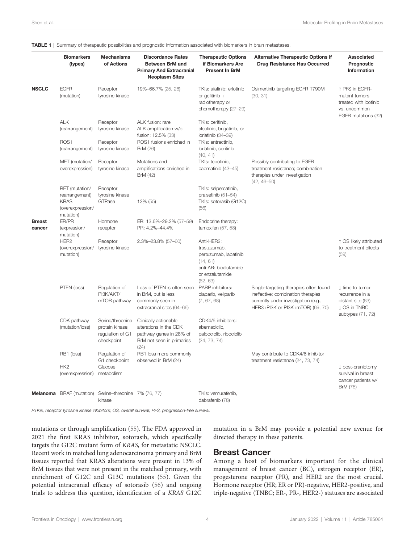|               | <b>Biomarkers</b><br>(types)                                                     | <b>Mechanisms</b><br>of Actions                                       | <b>Discordance Rates</b><br><b>Between BrM and</b><br><b>Primary And Extracranial</b><br><b>Neoplasm Sites</b>  | <b>Therapeutic Options</b><br>if Biomarkers Are<br><b>Present In BrM</b>                                                | <b>Alternative Therapeutic Options if</b><br>Drug Resistance Has Occurred                                                                                | Associated<br>Prognostic<br>Information                                                             |  |
|---------------|----------------------------------------------------------------------------------|-----------------------------------------------------------------------|-----------------------------------------------------------------------------------------------------------------|-------------------------------------------------------------------------------------------------------------------------|----------------------------------------------------------------------------------------------------------------------------------------------------------|-----------------------------------------------------------------------------------------------------|--|
| <b>NSCLC</b>  | <b>EGFR</b><br>(mutation)                                                        | Receptor<br>tyrosine kinase                                           | 19%-66.7% (25, 26)                                                                                              | TKIs: afatinib; erlotinib<br>or gefitinib $+$<br>radiotherapy or<br>chemotherapy (27-29)                                | Osimertinib targeting EGFR T790M<br>(30, 31)                                                                                                             | ↑ PFS in EGFR-<br>mutant tumors<br>treated with icotinib<br>vs. uncommon<br>EGFR mutations (32)     |  |
|               | <b>ALK</b><br>(rearrangement)                                                    | Receptor<br>tyrosine kinase                                           | ALK fusion: rare<br>ALK amplification w/o<br>fusion: 12.5% (33)                                                 | TKIs: ceritinib,<br>alectinib, brigatinib, or<br>lorlatinib (34-39)                                                     |                                                                                                                                                          |                                                                                                     |  |
|               | ROS1<br>(rearrangement)                                                          | Receptor<br>tyrosine kinase                                           | ROS1 fusions enriched in<br><b>BrM</b> (26)                                                                     | TKIs: entrectinib,<br>lorlatinib, ceritinib<br>(40, 41)                                                                 |                                                                                                                                                          |                                                                                                     |  |
|               | MET (mutation/<br>overexpression)                                                | Receptor<br>tyrosine kinase                                           | Mutations and<br>amplifications enriched in<br><b>BrM</b> (42)                                                  | TKIs: tepotinib,<br>capmatinib (43-45)                                                                                  | Possibly contributing to EGFR<br>treatment resistance; combination<br>therapies under investigation<br>$(42, 46 - 50)$                                   |                                                                                                     |  |
|               | RET (mutation/<br>rearrangement)<br><b>KRAS</b><br>(overexpression/<br>mutation) | Receptor<br>tyrosine kinase<br>GTPase                                 | 13% (55)                                                                                                        | TKIs: selpercatinib,<br>pralsetinib (51-54)<br>TKIs: sotorasib (G12C)<br>(56)                                           |                                                                                                                                                          |                                                                                                     |  |
| <b>Breast</b> | ER/PR                                                                            | Hormone                                                               | ER: 13.6%-29.2% (57-59)                                                                                         | Endocrine therapy:                                                                                                      |                                                                                                                                                          |                                                                                                     |  |
| cancer        | (expression/<br>mutation)                                                        | receptor                                                              | PR: 4.2%-44.4%                                                                                                  | tamoxifen $(57, 58)$                                                                                                    |                                                                                                                                                          |                                                                                                     |  |
|               | HER <sub>2</sub><br>(overexpression/<br>mutation)                                | Receptor<br>tyrosine kinase                                           | 2.3%-23.8% (57-60)                                                                                              | Anti-HER2:<br>trastuzumab,<br>pertuzumab, lapatinib<br>(14, 61)<br>anti-AR: bicalutamide<br>or enzalutamide<br>(62, 63) |                                                                                                                                                          | ↑ OS likely attributed<br>to treatment effects<br>(59)                                              |  |
|               | PTEN (loss)                                                                      | Regulation of<br>PI3K/AKT/<br>mTOR pathway                            | Loss of PTEN is often seen<br>in BrM, but is less<br>commonly seen in<br>extracranial sites (64-66)             | PARP inhibitors:<br>olaparib, veliparib<br>(7, 67, 68)                                                                  | Single-targeting therapies often found<br>ineffective; combination therapies<br>currently under investigation (e.g.,<br>HER3+PI3K or PI3K+mTOR) (69, 70) | ↓ time to tumor<br>recurrence in a<br>distant site (63)<br><b>J OS in TNBC</b><br>subtypes (71, 72) |  |
|               | CDK pathway<br>(mutation/loss)                                                   | Serine/threonine<br>protein kinase;<br>regulation of G1<br>checkpoint | Clinically actionable<br>alterations in the CDK<br>pathway genes in 28% of<br>BrM not seen in primaries<br>(24) | CDK4/6 inhibitors:<br>abemaciclib,<br>palbociclib, ribociclib<br>(24, 73, 74)                                           |                                                                                                                                                          |                                                                                                     |  |
|               | RB1 (loss)<br>HK <sub>2</sub><br>(overexpression)                                | Regulation of<br>G1 checkpoint<br>Glucose<br>metabolism               | RB1 loss more commonly<br>observed in BrM (24)                                                                  |                                                                                                                         | May contribute to CDK4/6 inhibitor<br>treatment resistance (24, 73, 74)                                                                                  | post-craniotomy<br>survival in breast<br>cancer patients w/<br>BrM (75)                             |  |
|               | <b>Melanoma</b> BRAF (mutation)                                                  | Serine-threonine 7% (76, 77)<br>kinase                                |                                                                                                                 | TKIs: vemurafenib,<br>dabrafenib (78)                                                                                   |                                                                                                                                                          |                                                                                                     |  |

<span id="page-5-0"></span>

|  |  |  |  | TABLE 1   Summary of therapeutic possibilities and prognostic information associated with biomarkers in brain metastases. |  |  |  |  |  |  |
|--|--|--|--|---------------------------------------------------------------------------------------------------------------------------|--|--|--|--|--|--|
|--|--|--|--|---------------------------------------------------------------------------------------------------------------------------|--|--|--|--|--|--|

RTKis, receptor tyrosine kinase inhibitors; OS, overall survival; PFS, progression-free survival.

mutations or through amplification [\(55](#page-11-0)). The FDA approved in 2021 the first KRAS inhibitor, sotorasib, which specifically targets the G12C mutant form of KRAS, for metastatic NSCLC. Recent work in matched lung adenocarcinoma primary and BrM tissues reported that KRAS alterations were present in 13% of BrM tissues that were not present in the matched primary, with enrichment of G12C and G13C mutations [\(55\)](#page-11-0). Given the potential intracranial efficacy of sotorasib [\(56\)](#page-11-0) and ongoing trials to address this question, identification of a KRAS G12C

mutation in a BrM may provide a potential new avenue for directed therapy in these patients.

#### Breast Cancer

Among a host of biomarkers important for the clinical management of breast cancer (BC), estrogen receptor (ER), progesterone receptor (PR), and HER2 are the most crucial. Hormone receptor (HR; ER or PR)-negative, HER2-positive, and triple-negative (TNBC; ER-, PR-, HER2-) statuses are associated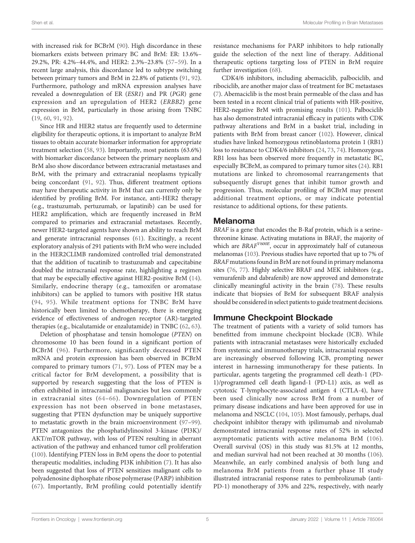with increased risk for BCBrM ([90\)](#page-12-0). High discordance in these biomarkers exists between primary BC and BrM: ER: 13.6%– 29.2%, PR: 4.2%–44.4%, and HER2: 2.3%–23.8% [\(57](#page-11-0)–[59](#page-11-0)). In a recent large analysis, this discordance led to subtype switching between primary tumors and BrM in 22.8% of patients ([91,](#page-12-0) [92\)](#page-12-0). Furthermore, pathology and mRNA expression analyses have revealed a downregulation of ER (ESR1) and PR (PGR) gene expression and an upregulation of HER2 (ERBB2) gene expression in BrM, particularly in those arising from TNBC ([19,](#page-10-0) [60,](#page-11-0) [91,](#page-12-0) [92\)](#page-12-0).

Since HR and HER2 status are frequently used to determine eligibility for therapeutic options, it is important to analyze BrM tissues to obtain accurate biomarker information for appropriate treatment selection [\(58](#page-11-0), [93](#page-12-0)). Importantly, most patients (63.6%) with biomarker discordance between the primary neoplasm and BrM also show discordance between extracranial metastases and BrM, with the primary and extracranial neoplasms typically being concordant ([91,](#page-12-0) [92\)](#page-12-0). Thus, different treatment options may have therapeutic activity in BrM that can currently only be identified by profiling BrM. For instance, anti-HER2 therapy (e.g., trastuzumab, pertuzumab, or lapatinib) can be used for HER2 amplification, which are frequently increased in BrM compared to primaries and extracranial metastases. Recently, newer HER2-targeted agents have shown an ability to reach BrM and generate intracranial responses ([61\)](#page-11-0). Excitingly, a recent exploratory analysis of 291 patients with BrM who were included in the HER2CLIMB randomized controlled trial demonstrated that the addition of tucatinib to trastuzumab and capecitabine doubled the intracranial response rate, highlighting a regimen that may be especially effective against HER2-positive BrM ([14\)](#page-10-0). Similarly, endocrine therapy (e.g., tamoxifen or aromatase inhibitors) can be applied to tumors with positive HR status ([94,](#page-12-0) [95](#page-12-0)). While treatment options for TNBC BrM have historically been limited to chemotherapy, there is emerging evidence of effectiveness of androgen receptor (AR)-targeted therapies (e.g., bicalutamide or enzalutamide) in TNBC [\(62](#page-11-0), [63\)](#page-11-0).

Deletion of phosphatase and tensin homologue (PTEN) on chromosome 10 has been found in a significant portion of BCBrM ([96\)](#page-12-0). Furthermore, significantly decreased PTEN mRNA and protein expression has been observed in BCBrM compared to primary tumors ([71,](#page-11-0) [97\)](#page-12-0). Loss of PTEN may be a critical factor for BrM development, a possibility that is supported by research suggesting that the loss of PTEN is often exhibited in intracranial malignancies but less commonly in extracranial sites ([64](#page-11-0)–[66](#page-11-0)). Downregulation of PTEN expression has not been observed in bone metastases, suggesting that PTEN dysfunction may be uniquely supportive to metastatic growth in the brain microenvironment ([97](#page-12-0)–[99\)](#page-12-0). PTEN antagonizes the phosphatidylinositol 3-kinase (PI3K)/ AKT/mTOR pathway, with loss of PTEN resulting in aberrant activation of the pathway and enhanced tumor cell proliferation ([100](#page-12-0)). Identifying PTEN loss in BrM opens the door to potential therapeutic modalities, including PI3K inhibition [\(7\)](#page-9-0). It has also been suggested that loss of PTEN sensitizes malignant cells to polyadenosine diphosphate ribose polymerase (PARP) inhibition ([67](#page-11-0)). Importantly, BrM profiling could potentially identify

resistance mechanisms for PARP inhibitors to help rationally guide the selection of the next line of therapy. Additional therapeutic options targeting loss of PTEN in BrM require further investigation [\(68](#page-11-0)).

CDK4/6 inhibitors, including abemaciclib, palbociclib, and ribociclib, are another major class of treatment for BC metastases [\(7\)](#page-9-0). Abemaciclib is the most brain permeable of the class and has been tested in a recent clinical trial of patients with HR-positive, HER2-negative BrM with promising results [\(101](#page-12-0)). Palbociclib has also demonstrated intracranial efficacy in patients with CDK pathway alterations and BrM in a basket trial, including in patients with BrM from breast cancer ([102](#page-12-0)). However, clinical studies have linked homozygous retinoblastoma protein 1 (RB1) loss to resistance to CDK4/6 inhibitors ([24,](#page-10-0) [73,](#page-11-0) [74](#page-11-0)). Homozygous RB1 loss has been observed more frequently in metastatic BC, especially BCBrM, as compared to primary tumor sites [\(24\)](#page-10-0). RB1 mutations are linked to chromosomal rearrangements that subsequently disrupt genes that inhibit tumor growth and progression. Thus, molecular profiling of BCBrM may present additional treatment options, or may indicate potential resistance to additional options, for these patients.

#### Melanoma

BRAF is a gene that encodes the B-Raf protein, which is a serine– threonine kinase. Activating mutations in BRAF, the majority of which are BRAF<sup>V600E</sup>, occur in approximately half of cutaneous melanomas [\(103](#page-12-0)). Previous studies have reported that up to 7% of BRAF mutations found in BrM are not found in primary melanoma sites [\(76,](#page-11-0) [77\)](#page-11-0). Highly selective BRAF and MEK inhibitors (e.g., vemurafenib and dabrafenib) are now approved and demonstrate clinically meaningful activity in the brain ([78\)](#page-11-0). These results indicate that biopsies of BrM for subsequent BRAF analysis should be considered in select patients to guide treatment decisions.

## Immune Checkpoint Blockade

The treatment of patients with a variety of solid tumors has benefitted from immune checkpoint blockade (ICB). While patients with intracranial metastases were historically excluded from systemic and immunotherapy trials, intracranial responses are increasingly observed following ICB, prompting newer interest in harnessing immunotherapy for these patients. In particular, agents targeting the programmed cell death-1 (PD-1)/programmed cell death ligand-1 (PD-L1) axis, as well as cytotoxic T-lymphocyte-associated antigen 4 (CTLA-4), have been used clinically now across BrM from a number of primary disease indications and have been approved for use in melanoma and NSCLC [\(104](#page-12-0), [105\)](#page-12-0). Most famously, perhaps, dual checkpoint inhibitor therapy with ipilimumab and nivolumab demonstrated intracranial response rates of 52% in selected asymptomatic patients with active melanoma BrM ([106](#page-12-0)). Overall survival (OS) in this study was 81.5% at 12 months, and median survival had not been reached at 30 months ([106\)](#page-12-0). Meanwhile, an early combined analysis of both lung and melanoma BrM patients from a further phase II study illustrated intracranial response rates to pembrolizumab (anti-PD-1) monotherapy of 33% and 22%, respectively, with nearly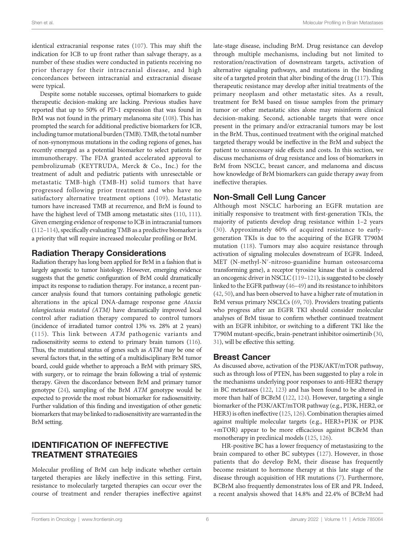identical extracranial response rates ([107](#page-12-0)). This may shift the indication for ICB to up front rather than salvage therapy, as a number of these studies were conducted in patients receiving no prior therapy for their intracranial disease, and high concordances between intracranial and extracranial disease were typical.

Despite some notable successes, optimal biomarkers to guide therapeutic decision-making are lacking. Previous studies have reported that up to 50% of PD-1 expression that was found in BrM was not found in the primary melanoma site ([108](#page-12-0)). This has prompted the search for additional predictive biomarkers for ICB, including tumor mutational burden (TMB). TMB, the total number of non-synonymous mutations in the coding regions of genes, has recently emerged as a potential biomarker to select patients for immunotherapy. The FDA granted accelerated approval to pembrolizumab (KEYTRUDA, Merck & Co., Inc.) for the treatment of adult and pediatric patients with unresectable or metastatic TMB-high (TMB-H) solid tumors that have progressed following prior treatment and who have no satisfactory alternative treatment options [\(109\)](#page-12-0). Metastatic tumors have increased TMB at recurrence, and BrM is found to have the highest level of TMB among metastatic sites [\(110,](#page-12-0) [111\)](#page-12-0). Given emerging evidence of response to ICB in intracranial tumors ([112](#page-12-0)–[114\)](#page-12-0), specifically evaluating TMB as a predictive biomarker is a priority that will require increased molecular profiling or BrM.

# Radiation Therapy Considerations

Radiation therapy has long been applied for BrM in a fashion that is largely agnostic to tumor histology. However, emerging evidence suggests that the genetic configuration of BrM could dramatically impact its response to radiation therapy. For instance, a recent pancancer analysis found that tumors containing pathologic genetic alterations in the apical DNA-damage response gene Ataxia telangiectasia mutated (ATM) have dramatically improved local control after radiation therapy compared to control tumors (incidence of irradiated tumor control 13% vs. 28% at 2 years) ([115](#page-12-0)). This link between ATM pathogenic variants and radiosensitivity seems to extend to primary brain tumors [\(116\)](#page-12-0). Thus, the mutational status of genes such as ATM may be one of several factors that, in the setting of a multidisciplinary BrM tumor board, could guide whether to approach a BrM with primary SRS, with surgery, or to reimage the brain following a trial of systemic therapy. Given the discordance between BrM and primary tumor genotype [\(24](#page-10-0)), sampling of the BrM ATM genotype would be expected to provide the most robust biomarker for radiosensitivity. Further validation of this finding and investigation of other genetic biomarkers that may be linked to radiosensitivity are warranted in the BrM setting.

# IDENTIFICATION OF INEFFECTIVE TREATMENT STRATEGIES

Molecular profiling of BrM can help indicate whether certain targeted therapies are likely ineffective in this setting. First, resistance to molecularly targeted therapies can occur over the course of treatment and render therapies ineffective against late-stage disease, including BrM. Drug resistance can develop through multiple mechanisms, including but not limited to restoration/reactivation of downstream targets, activation of alternative signaling pathways, and mutations in the binding site of a targeted protein that alter binding of the drug [\(117\)](#page-12-0). This therapeutic resistance may develop after initial treatments of the primary neoplasm and other metastatic sites. As a result, treatment for BrM based on tissue samples from the primary tumor or other metastatic sites alone may misinform clinical decision-making. Second, actionable targets that were once present in the primary and/or extracranial tumors may be lost in the BrM. Thus, continued treatment with the original matched targeted therapy would be ineffective in the BrM and subject the patient to unnecessary side effects and costs. In this section, we discuss mechanisms of drug resistance and loss of biomarkers in BrM from NSCLC, breast cancer, and melanoma and discuss how knowledge of BrM biomarkers can guide therapy away from ineffective therapies.

# Non-Small Cell Lung Cancer

Although most NSCLC harboring an EGFR mutation are initially responsive to treatment with first-generation TKIs, the majority of patients develop drug resistance within 1–2 years ([30](#page-10-0)). Approximately 60% of acquired resistance to earlygeneration TKIs is due to the acquiring of the EGFR T790M mutation ([118](#page-12-0)). Tumors may also acquire resistance through activation of signaling molecules downstream of EGFR. Indeed, MET (N-methyl-N′-nitroso-guanidine human osteosarcoma transforming gene), a receptor tyrosine kinase that is considered an oncogenic driver in NSCLC ([119](#page-12-0)–[121](#page-12-0)), is suggested to be closely linked to the EGFR pathway ([46](#page-10-0)–[49](#page-11-0)) and its resistance to inhibitors [\(42](#page-10-0), [50\)](#page-11-0), and has been observed to have a higher rate of mutation in BrM versus primary NSCLCs ([69,](#page-11-0) [70\)](#page-11-0). Providers treating patients who progress after an EGFR TKI should consider molecular analyses of BrM tissue to confirm whether continued treatment with an EGFR inhibitor, or switching to a different TKI like the T790M mutant-specific, brain-penetrant inhibitor osimertinib [\(30,](#page-10-0) [31](#page-10-0)), will be effective this setting.

## Breast Cancer

As discussed above, activation of the PI3K/AKT/mTOR pathway, such as through loss of PTEN, has been suggested to play a role in the mechanisms underlying poor responses to anti-HER2 therapy in BC metastases [\(122,](#page-12-0) [123](#page-12-0)) and has been found to be altered in more than half of BCBrM [\(122](#page-12-0), [124\)](#page-12-0). However, targeting a single biomarker of the PI3K/AKT/mTOR pathway (e.g., PI3K, HER2, or HER3) is often ineffective ([125,](#page-13-0) [126\)](#page-13-0). Combination therapies aimed against multiple molecular targets (e.g., HER3+PI3K or PI3K +mTOR) appear to be more efficacious against BCBrM than monotherapy in preclinical models ([125](#page-13-0), [126\)](#page-13-0).

HR-positive BC has a lower frequency of metastasizing to the brain compared to other BC subtypes ([127\)](#page-13-0). However, in those patients that do develop BrM, their disease has frequently become resistant to hormone therapy at this late stage of the disease through acquisition of HR mutations [\(7\)](#page-9-0). Furthermore, BCBrM also frequently demonstrates loss of ER and PR. Indeed, a recent analysis showed that 14.8% and 22.4% of BCBrM had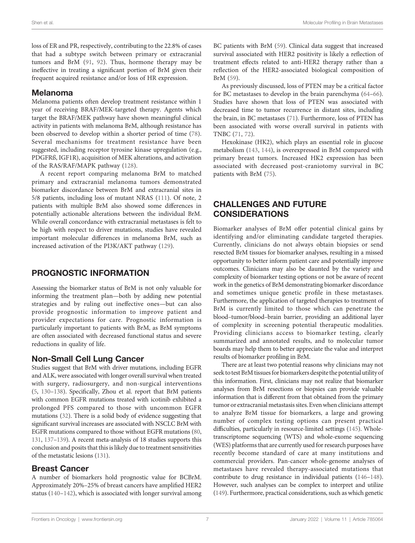loss of ER and PR, respectively, contributing to the 22.8% of cases that had a subtype switch between primary or extracranial tumors and BrM ([91,](#page-12-0) [92](#page-12-0)). Thus, hormone therapy may be ineffective in treating a significant portion of BrM given their frequent acquired resistance and/or loss of HR expression.

#### Melanoma

Melanoma patients often develop treatment resistance within 1 year of receiving BRAF/MEK-targeted therapy. Agents which target the BRAF/MEK pathway have shown meaningful clinical activity in patients with melanoma BrM, although resistance has been observed to develop within a shorter period of time ([78\)](#page-11-0). Several mechanisms for treatment resistance have been suggested, including receptor tyrosine kinase upregulation (e.g., PDGFRß, IGF1R), acquisition of MEK alterations, and activation of the RAS/RAF/MAPK pathway [\(128\)](#page-13-0).

A recent report comparing melanoma BrM to matched primary and extracranial melanoma tumors demonstrated biomarker discordance between BrM and extracranial sites in 5/8 patients, including loss of mutant NRAS [\(111](#page-12-0)). Of note, 2 patients with multiple BrM also showed some differences in potentially actionable alterations between the individual BrM. While overall concordance with extracranial metastases is felt to be high with respect to driver mutations, studies have revealed important molecular differences in melanoma BrM, such as increased activation of the PI3K/AKT pathway ([129\)](#page-13-0).

# PROGNOSTIC INFORMATION

Assessing the biomarker status of BrM is not only valuable for informing the treatment plan—both by adding new potential strategies and by ruling out ineffective ones—but can also provide prognostic information to improve patient and provider expectations for care. Prognostic information is particularly important to patients with BrM, as BrM symptoms are often associated with decreased functional status and severe reductions in quality of life.

# Non-Small Cell Lung Cancer

Studies suggest that BrM with driver mutations, including EGFR and ALK, were associated with longer overall survival when treated with surgery, radiosurgery, and non-surgical interventions ([5,](#page-9-0) [130](#page-13-0)–[138](#page-13-0)). Specifically, Zhou et al. report that BrM patients with common EGFR mutations treated with icotinib exhibited a prolonged PFS compared to those with uncommon EGFR mutations [\(32\)](#page-10-0). There is a solid body of evidence suggesting that significant survival increases are associated with NSCLC BrM with EGFR mutations compared to those without EGFR mutations [\(80](#page-11-0), [131,](#page-13-0) [137](#page-13-0)–[139\)](#page-13-0). A recent meta-analysis of 18 studies supports this conclusion and posits that this is likely due to treatment sensitivities of the metastatic lesions [\(131](#page-13-0)).

# Breast Cancer

A number of biomarkers hold prognostic value for BCBrM. Approximately 20%–25% of breast cancers have amplified HER2 status ([140](#page-13-0)–[142\)](#page-13-0), which is associated with longer survival among

BC patients with BrM [\(59](#page-11-0)). Clinical data suggest that increased survival associated with HER2 positivity is likely a reflection of treatment effects related to anti-HER2 therapy rather than a reflection of the HER2-associated biological composition of BrM ([59\)](#page-11-0).

As previously discussed, loss of PTEN may be a critical factor for BC metastases to develop in the brain parenchyma ([64](#page-11-0)–[66\)](#page-11-0). Studies have shown that loss of PTEN was associated with decreased time to tumor recurrence in distant sites, including the brain, in BC metastases ([71](#page-11-0)). Furthermore, loss of PTEN has been associated with worse overall survival in patients with TNBC ([71,](#page-11-0) [72](#page-11-0)).

Hexokinase (HK2), which plays an essential role in glucose metabolism [\(143](#page-13-0), [144\)](#page-13-0), is overexpressed in BrM compared with primary breast tumors. Increased HK2 expression has been associated with decreased post-craniotomy survival in BC patients with BrM [\(75](#page-11-0)).

# CHALLENGES AND FUTURE CONSIDERATIONS

Biomarker analyses of BrM offer potential clinical gains by identifying and/or eliminating candidate targeted therapies. Currently, clinicians do not always obtain biopsies or send resected BrM tissues for biomarker analyses, resulting in a missed opportunity to better inform patient care and potentially improve outcomes. Clinicians may also be daunted by the variety and complexity of biomarker testing options or not be aware of recent work in the genetics of BrM demonstrating biomarker discordance and sometimes unique genetic profile in these metastases. Furthermore, the application of targeted therapies to treatment of BrM is currently limited to those which can penetrate the blood–tumor/blood–brain barrier, providing an additional layer of complexity in screening potential therapeutic modalities. Providing clinicians access to biomarker testing, clearly summarized and annotated results, and to molecular tumor boards may help them to better appreciate the value and interpret results of biomarker profiling in BrM.

There are at least two potential reasons why clinicians may not seek to test BrM tissues for biomarkers despite the potential utility of this information. First, clinicians may not realize that biomarker analyses from BrM resections or biopsies can provide valuable information that is different from that obtained from the primary tumor or extracranial metastasis sites. Even when clinicians attempt to analyze BrM tissue for biomarkers, a large and growing number of complex testing options can present practical difficulties, particularly in resource-limited settings ([145\)](#page-13-0). Wholetranscriptome sequencing (WTS) and whole-exome sequencing (WES) platforms that are currently used for research purposes have recently become standard of care at many institutions and commercial providers. Pan-cancer whole-genome analyses of metastases have revealed therapy-associated mutations that contribute to drug resistance in individual patients [\(146](#page-13-0)–[148\)](#page-13-0). However, such analyses can be complex to interpret and utilize [\(149\)](#page-13-0). Furthermore, practical considerations, such as which genetic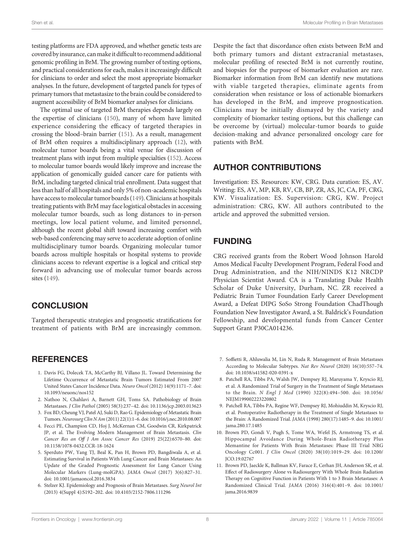<span id="page-9-0"></span>testing platforms are FDA approved, and whether genetic tests are covered by insurance, can make it difficult to recommend additional genomic profiling in BrM. The growing number of testing options, and practical considerations for each, makes it increasingly difficult for clinicians to order and select the most appropriate biomarker analyses. In the future, development of targeted panels for types of primary tumors that metastasize to the brain could be considered to augment accessibility of BrM biomarker analyses for clinicians.

The optimal use of targeted BrM therapies depends largely on the expertise of clinicians ([150](#page-13-0)), many of whom have limited experience considering the efficacy of targeted therapies in crossing the blood–brain barrier [\(151\)](#page-13-0). As a result, management of BrM often requires a multidisciplinary approach [\(12](#page-10-0)), with molecular tumor boards being a vital venue for discussion of treatment plans with input from multiple specialties [\(152\)](#page-13-0). Access to molecular tumor boards would likely improve and increase the application of genomically guided cancer care for patients with BrM, including targeted clinical trial enrollment. Data suggest that less than half of all hospitals and only 5% of non-academic hospitals have access to molecular tumor boards ([149\)](#page-13-0). Clinicians at hospitals treating patients with BrM may face logistical obstacles in accessing molecular tumor boards, such as long distances to in-person meetings, low local patient volume, and limited personnel, although the recent global shift toward increasing comfort with web-based conferencing may serve to accelerate adoption of online multidisciplinary tumor boards. Organizing molecular tumor boards across multiple hospitals or hospital systems to provide clinicians access to relevant expertise is a logical and critical step forward in advancing use of molecular tumor boards across sites ([149\)](#page-13-0).

# **CONCLUSION**

Targeted therapeutic strategies and prognostic stratifications for treatment of patients with BrM are increasingly common.

#### **REFERENCES**

- 1. Davis FG, Dolecek TA, McCarthy BJ, Villano JL. Toward Determining the Lifetime Occurrence of Metastatic Brain Tumors Estimated From 2007 United States Cancer Incidence Data. Neuro Oncol (2012) 14(9):1171–7. doi: [10.1093/neuonc/nos152](https://doi.org/10.1093/neuonc/nos152)
- 2. Nathoo N, Chahlavi A, Barnett GH, Toms SA. Pathobiology of Brain Metastases. J Clin Pathol (2005) 58(3):237–42. doi: [10.1136/jcp.2003.013623](https://doi.org/10.1136/jcp.2003.013623)
- 3. Fox BD, Cheung VJ, Patel AJ, Suki D, Rao G. Epidemiology of Metastatic Brain Tumors.Neurosurg Clin N Am(2011) 22(1):1–6. doi: [10.1016/j.nec.2010.08.007](https://doi.org/10.1016/j.nec.2010.08.007)
- 4. Fecci PE, Champion CD, Hoj J, McKernan CM, Goodwin CR, Kirkpatrick JP, et al. The Evolving Modern Management of Brain Metastasis. Clin Cancer Res an Off J Am Assoc Cancer Res (2019) 25(22):6570–80. doi: [10.1158/1078-0432.CCR-18-1624](https://doi.org/10.1158/1078-0432.CCR-18-1624)
- 5. Sperduto PW, Yang TJ, Beal K, Pan H, Brown PD, Bangdiwala A, et al. Estimating Survival in Patients With Lung Cancer and Brain Metastases: An Update of the Graded Prognostic Assessment for Lung Cancer Using Molecular Markers (Lung-molGPA). JAMA Oncol (2017) 3(6):827–31. doi: [10.1001/jamaoncol.2016.3834](https://doi.org/10.1001/jamaoncol.2016.3834)
- 6. Stelzer KJ. Epidemiology and Prognosis of Brain Metastases. Surg Neurol Int (2013) 4(Suppl 4):S192–202. doi: [10.4103/2152-7806.111296](https://doi.org/10.4103/2152-7806.111296)

Despite the fact that discordance often exists between BrM and both primary tumors and distant extracranial metastases, molecular profiling of resected BrM is not currently routine, and biopsies for the purpose of biomarker evaluation are rare. Biomarker information from BrM can identify new mutations with viable targeted therapies, eliminate agents from consideration when resistance or loss of actionable biomarkers has developed in the BrM, and improve prognostication. Clinicians may be initially dismayed by the variety and complexity of biomarker testing options, but this challenge can be overcome by (virtual) molecular-tumor boards to guide decision-making and advance personalized oncology care for patients with BrM.

## AUTHOR CONTRIBUTIONS

Investigation: ES. Resources: KW, CRG. Data curation: ES, AV. Writing: ES, AV, MP, KB, RV, CB, BP, ZR, AS, JC, CA, PF, CRG, KW. Visualization: ES. Supervision: CRG, KW. Project administration: CRG, KW. All authors contributed to the article and approved the submitted version.

## FUNDING

CRG received grants from the Robert Wood Johnson Harold Amos Medical Faculty Development Program, Federal Food and Drug Administration, and the NIH/NINDS K12 NRCDP Physician Scientist Award. CA is a Translating Duke Health Scholar of Duke University, Durham, NC. ZR received a Pediatric Brain Tumor Foundation Early Career Development Award, a Defeat DIPG SoSo Strong Foundation ChadThough Foundation New Investigator Award, a St. Baldrick's Foundation Fellowship, and developmental funds from Cancer Center Support Grant P30CA014236.

- 7. Soffietti R, Ahluwalia M, Lin N, Ruda R. Management of Brain Metastases According to Molecular Subtypes. Nat Rev Neurol (2020) 16(10):557–74. doi: [10.1038/s41582-020-0391-x](https://doi.org/10.1038/s41582-020-0391-x)
- 8. Patchell RA, Tibbs PA, Walsh JW, Dempsey RJ, Maruyama Y, Kryscio RJ, et al. A Randomized Trial of Surgery in the Treatment of Single Metastases to the Brain. N Engl J Med (1990) 322(8):494–500. doi: [10.1056/](https://doi.org/10.1056/NEJM199002223220802) NEIM199002223220802
- 9. Patchell RA, Tibbs PA, Regine WF, Dempsey RJ, Mohiuddin M, Kryscio RJ, et al. Postoperative Radiotherapy in the Treatment of Single Metastases to the Brain: A Randomized Trial. JAMA (1998) 280(17):1485–9. doi: [10.1001/](https://doi.org/10.1001/jama.280.17.1485) [jama.280.17.1485](https://doi.org/10.1001/jama.280.17.1485)
- 10. Brown PD, Gondi V, Pugh S, Tome WA, Wefel JS, Armstrong TS, et al. Hippocampal Avoidance During Whole-Brain Radiotherapy Plus Memantine for Patients With Brain Metastases: Phase III Trial NRG Oncology Cc001. J Clin Oncol (2020) 38(10):1019–29. doi: [10.1200/](https://doi.org/10.1200/JCO.19.02767) [JCO.19.02767](https://doi.org/10.1200/JCO.19.02767)
- 11. Brown PD, Jaeckle K, Ballman KV, Farace E, Cerhan JH, Anderson SK, et al. Effect of Radiosurgery Alone vs Radiosurgery With Whole Brain Radiation Therapy on Cognitive Function in Patients With 1 to 3 Brain Metastases: A Randomized Clinical Trial. JAMA (2016) 316(4):401–9. doi: [10.1001/](https://doi.org/10.1001/jama.2016.9839) [jama.2016.9839](https://doi.org/10.1001/jama.2016.9839)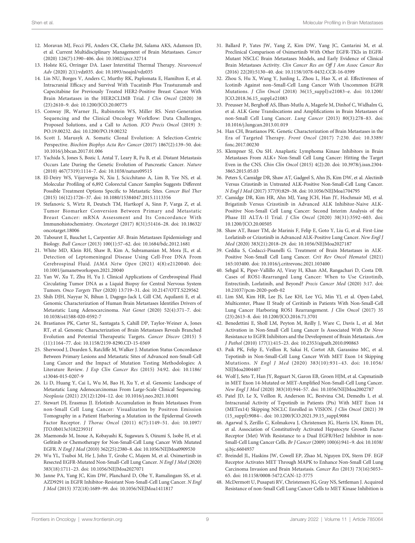- <span id="page-10-0"></span>12. Moravan MJ, Fecci PE, Anders CK, Clarke JM, Salama AKS, Adamson JD, et al. Current Multidisciplinary Management of Brain Metastases. Cancer (2020) 126(7):1390–406. doi: [10.1002/cncr.32714](https://doi.org/10.1002/cncr.32714)
- 13. Holste KG, Orringer DA. Laser Interstitial Thermal Therapy. Neurooncol Adv (2020) 2(1):vdz035. doi: [10.1093/noajnl/vdz035](https://doi.org/10.1093/noajnl/vdz035)
- 14. Lin NU, Borges V, Anders C, Murthy RK, Paplomata E, Hamilton E, et al. Intracranial Efficacy and Survival With Tucatinib Plus Trastuzumab and Capecitabine for Previously Treated HER2-Positive Breast Cancer With Brain Metastases in the HER2CLIMB Trial. J Clin Oncol (2020) 38 (23):2610–9. doi: [10.1200/JCO.20.00775](https://doi.org/10.1200/JCO.20.00775)
- 15. Conway JR, Warner JL, Rubinstein WS, Miller RS. Next-Generation Sequencing and the Clinical Oncology Workflow: Data Challenges, Proposed Solutions, and a Call to Action. JCO Precis Oncol (2019) 3: PO.19.00232. doi: [10.1200/PO.19.00232](https://doi.org/10.1200/PO.19.00232)
- 16. Scott J, Marusyk A. Somatic Clonal Evolution: A Selection-Centric Perspective. Biochim Biophys Acta Rev Cancer (2017) 1867(2):139–50. doi: [10.1016/j.bbcan.2017.01.006](https://doi.org/10.1016/j.bbcan.2017.01.006)
- 17. Yachida S, Jones S, Bozic I, Antal T, Leary R, Fu B, et al. Distant Metastasis Occurs Late During the Genetic Evolution of Pancreatic Cancer. Nature (2010) 467(7319):1114–7. doi: [10.1038/nature09515](https://doi.org/10.1038/nature09515)
- 18. El-Deiry WS, Vijayvergia N, Xiu J, Scicchitano A, Lim B, Yee NS, et al. Molecular Profiling of 6,892 Colorectal Cancer Samples Suggests Different Possible Treatment Options Specific to Metastatic Sites. Cancer Biol Ther (2015) 16(12):1726–37. doi: [10.1080/15384047.2015.1113356](https://doi.org/10.1080/15384047.2015.1113356)
- 19. Stefanovic S, Wirtz R, Deutsch TM, Hartkopf A, Sinn P, Varga Z, et al. Tumor Biomarker Conversion Between Primary and Metastatic Breast Cancer: mRNA Assessment and Its Concordance With Immunohistochemistry. Oncotarget (2017) 8(31):51416–28. doi: [10.18632/](https://doi.org/10.18632/oncotarget.18006) [oncotarget.18006](https://doi.org/10.18632/oncotarget.18006)
- 20. Tabouret E, Bauchet L, Carpentier AF. Brain Metastases Epidemiology and Biology. Bull Cancer (2013) 100(1):57–62. doi: [10.1684/bdc.2012.1681](https://doi.org/10.1684/bdc.2012.1681)
- 21. White MD, Klein RH, Shaw B, Kim A, Subramanian M, Mora JL, et al. Detection of Leptomeningeal Disease Using Cell-Free DNA From Cerebrospinal Fluid. JAMA Netw Open (2021) 4(8):e2120040. doi: [10.1001/jamanetworkopen.2021.20040](https://doi.org/10.1001/jamanetworkopen.2021.20040)
- 22. Yan W, Xu T, Zhu H, Yu J. Clinical Applications of Cerebrospinal Fluid Circulating Tumor DNA as a Liquid Biopsy for Central Nervous System Tumors. Onco Targets Ther (2020) 13:719–31. doi: [10.2147/OTT.S229562](https://doi.org/10.2147/OTT.S229562)
- 23. Shih DJH, Nayyar N, Bihun I, Dagogo-Jack I, Gill CM, Aquilanti E, et al. Genomic Characterization of Human Brain Metastases Identifies Drivers of Metastatic Lung Adenocarcinoma. Nat Genet (2020) 52(4):371–7. doi: [10.1038/s41588-020-0592-7](https://doi.org/10.1038/s41588-020-0592-7)
- 24. Brastianos PK, Carter SL, Santagata S, Cahill DP, Taylor-Weiner A, Jones RT, et al. Genomic Characterization of Brain Metastases Reveals Branched Evolution and Potential Therapeutic Targets. Cancer Discov (2015) 5 (11):1164–77. doi: [10.1158/2159-8290.CD-15-0369](https://doi.org/10.1158/2159-8290.CD-15-0369)
- 25. Sherwood J, Dearden S, Ratcliffe M, Walker J. Mutation Status Concordance Between Primary Lesions and Metastatic Sites of Advanced non-Small-Cell Lung Cancer and the Impact of Mutation Testing Methodologies: A Literature Review. J Exp Clin Cancer Res (2015) 34:92. doi: [10.1186/](https://doi.org/10.1186/s13046-015-0207-9) [s13046-015-0207-9](https://doi.org/10.1186/s13046-015-0207-9)
- 26. Li D, Huang Y, Cai L, Wu M, Bao H, Xu Y, et al. Genomic Landscape of Metastatic Lung Adenocarcinomas From Large-Scale Clinical Sequencing. Neoplasia (2021) 23(12):1204–12. doi: [10.1016/j.neo.2021.10.001](https://doi.org/10.1016/j.neo.2021.10.001)
- 27. Stewart DJ, Erasmus JJ. Erlotinib Accumulation in Brain Metastases From non-Small Cell Lung Cancer: Visualization by Positron Emission Tomography in a Patient Harboring a Mutation in the Epidermal Growth Factor Receptor. J Thorac Oncol (2011) 6(7):1149–51. doi: [10.1097/](https://doi.org/10.1097/JTO.0b013e318223931f) [JTO.0b013e318223931f](https://doi.org/10.1097/JTO.0b013e318223931f)
- 28. Maemondo M, Inoue A, Kobayashi K, Sugawara S, Oizumi S, Isobe H, et al. Gefitinib or Chemotherapy for Non-Small-Cell Lung Cancer With Mutated EGFR. N Engl J Med (2010) 362(25):2380–8. doi: [10.1056/NEJMoa0909530](https://doi.org/10.1056/NEJMoa0909530)
- 29. Wu YL, Tsuboi M, He J, John T, Grohe C, Majem M, et al. Osimertinib in Resected EGFR-Mutated Non-Small-Cell Lung Cancer. N Engl J Med (2020) 383(18):1711–23. doi: [10.1056/NEJMoa2027071](https://doi.org/10.1056/NEJMoa2027071)
- 30. Janne PA, Yang JC, Kim DW, Planchard D, Ohe Y, Ramalingam SS, et al. AZD9291 in EGFR Inhibitor-Resistant Non-Small-Cell Lung Cancer. N Engl J Med (2015) 372(18):1689–99. doi: [10.1056/NEJMoa1411817](https://doi.org/10.1056/NEJMoa1411817)
- 31. Ballard P, Yates JW, Yang Z, Kim DW, Yang JC, Cantarini M, et al. Preclinical Comparison of Osimertinib With Other EGFR-TKIs in EGFR-Mutant NSCLC Brain Metastases Models, and Early Evidence of Clinical Brain Metastases Activity. Clin Cancer Res an Off J Am Assoc Cancer Res (2016) 22(20):5130–40. doi: [10.1158/1078-0432.CCR-16-0399](https://doi.org/10.1158/1078-0432.CCR-16-0399)
- 32. Zhou S, Hu X, Wang Y, Junling L, Zhou L, Hao X, et al. Effectiveness of Icotinib Against non–Small-Cell Lung Cancer With Uncommon EGFR Mutations. J Clin Oncol (2018) 36(15\_suppl):e21083–e. doi: [10.1200/](https://doi.org/10.1200/JCO.2018.36.15_suppl.e21083) [JCO.2018.36.15\\_suppl.e21083](https://doi.org/10.1200/JCO.2018.36.15_suppl.e21083)
- 33. Preusser M, Berghoff AS, Ilhan-Mutlu A, Magerle M, Dinhof C, Widhalm G, et al. ALK Gene Translocations and Amplifications in Brain Metastases of non-Small Cell Lung Cancer. Lung Cancer (2013) 80(3):278–83. doi: [10.1016/j.lungcan.2013.01.019](https://doi.org/10.1016/j.lungcan.2013.01.019)
- 34. Han CH, Brastianos PK. Genetic Characterization of Brain Metastases in the Era of Targeted Therapy. Front Oncol (2017) 7:230. doi: [10.3389/](https://doi.org/10.3389/fonc.2017.00230) [fonc.2017.00230](https://doi.org/10.3389/fonc.2017.00230)
- 35. Klempner SJ, Ou SH. Anaplastic Lymphoma Kinase Inhibitors in Brain Metastases From ALK+ Non-Small Cell Lung Cancer: Hitting the Target Even in the CNS. Chin Clin Oncol (2015) 4(2):20. doi: [10.3978/j.issn.2304-](https://doi.org/10.3978/j.issn.2304-3865.2015.05.03) [3865.2015.05.03](https://doi.org/10.3978/j.issn.2304-3865.2015.05.03)
- 36. Peters S, Camidge DR, Shaw AT, Gadgeel S, Ahn JS, Kim DW, et al. Alectinib Versus Crizotinib in Untreated ALK-Positive Non-Small-Cell Lung Cancer. N Engl J Med (2017) 377(9):829–38. doi: [10.1056/NEJMoa1704795](https://doi.org/10.1056/NEJMoa1704795)
- 37. Camidge DR, Kim HR, Ahn MJ, Yang JCH, Han JY, Hochmair MJ, et al. Brigatinib Versus Crizotinib in Advanced ALK Inhibitor-Naive ALK-Positive Non-Small Cell Lung Cancer: Second Interim Analysis of the Phase III ALTA-1l Trial. J Clin Oncol (2020) 38(31):3592–603. doi: [10.1200/JCO.20.00505](https://doi.org/10.1200/JCO.20.00505)
- 38. Shaw AT, Bauer TM, de Marinis F, Felip E, Goto Y, Liu G, et al. First-Line Lorlatinib or Crizotinib in Advanced ALK-Positive Lung Cancer. New Engl J Med (2020) 383(21):2018–29. doi: [10.1056/NEJMoa2027187](https://doi.org/10.1056/NEJMoa2027187)
- 39. Ceddia S, Codacci-Pisanelli G. Treatment of Brain Metastases in ALK-Positive Non-Small Cell Lung Cancer. Crit Rev Oncol Hematol (2021) 165:103400. doi: [10.1016/j.critrevonc.2021.103400](https://doi.org/10.1016/j.critrevonc.2021.103400)
- 40. Sehgal K, Piper-Vallillo AJ, Viray H, Khan AM, Rangachari D, Costa DB. Cases of ROS1-Rearranged Lung Cancer: When to Use Crizotinib, Entrectinib, Lorlatinib, and Beyond? Precis Cancer Med (2020) 3:17. doi: [10.21037/pcm-2020-potb-02](https://doi.org/10.21037/pcm-2020-potb-02)
- 41. Lim SM, Kim HR, Lee JS, Lee KH, Lee YG, Min YJ, et al. Open-Label, Multicenter, Phase II Study of Ceritinib in Patients With Non-Small-Cell Lung Cancer Harboring ROS1 Rearrangement. J Clin Oncol (2017) 35 (23):2613–8. doi: [10.1200/JCO.2016.71.3701](https://doi.org/10.1200/JCO.2016.71.3701)
- 42. Benedettini E, Sholl LM, Peyton M, Reilly J, Ware C, Davis L, et al. Met Activation in Non-Small Cell Lung Cancer Is Associated With De Novo Resistance to EGFR Inhibitors and the Development of Brain Metastasis. Am J Pathol (2010) 177(1):415–23. doi: [10.2353/ajpath.2010.090863](https://doi.org/10.2353/ajpath.2010.090863)
- 43. Paik PK, Felip E, Veillon R, Sakai H, Cortot AB, Garassino MC, et al. Tepotinib in Non-Small-Cell Lung Cancer With MET Exon 14 Skipping Mutations. N Engl J Med (2020) 383(10):931–43. doi: [10.1056/](https://doi.org/10.1056/NEJMoa2004407) [NEJMoa2004407](https://doi.org/10.1056/NEJMoa2004407)
- 44. Wolf J, Seto T, Han JY, Reguart N, Garon EB, Groen HJM, et al. Capmatinib in MET Exon 14-Mutated or MET-Amplified Non-Small-Cell Lung Cancer. New Engl J Med (2020) 383(10):944–57. doi: [10.1056/NEJMoa2002787](https://doi.org/10.1056/NEJMoa2002787)
- 45. Patel JD, Le X, Veillon R, Anderson IC, Bestvina CM, Demedts I, et al. Intracranial Activity of Tepotinib in Patients (Pts) With MET Exon 14 (METex14) Skipping NSCLC Enrolled in VISION. J Clin Oncol (2021) 39 (15\_suppl):9084–. doi: [10.1200/JCO.2021.39.15\\_suppl.9084](https://doi.org/10.1200/JCO.2021.39.15_suppl.9084)
- 46. Agarwal S, Zerillo C, Kolmakova J, Christensen JG, Harris LN, Rimm DL, et al. Association of Constitutively Activated Hepatocyte Growth Factor Receptor (Met) With Resistance to a Dual EGFR/Her2 Inhibitor in non-Small-Cell Lung Cancer Cells. Br J Cancer (2009) 100(6):941–9. doi: [10.1038/](https://doi.org/10.1038/sj.bjc.6604937) [sj.bjc.6604937](https://doi.org/10.1038/sj.bjc.6604937)
- 47. Breindel JL, Haskins JW, Cowell EP, Zhao M, Nguyen DX, Stern DF. EGF Receptor Activates MET Through MAPK to Enhance Non-Small Cell Lung Carcinoma Invasion and Brain Metastasis. Cancer Res (2013) 73(16):5053– 65. doi: [10.1158/0008-5472.CAN-12-3775](https://doi.org/10.1158/0008-5472.CAN-12-3775)
- 48. McDermott U, Pusapati RV, Christensen JG, Gray NS, Settleman J. Acquired Resistance of non-Small Cell Lung Cancer Cells to MET Kinase Inhibition is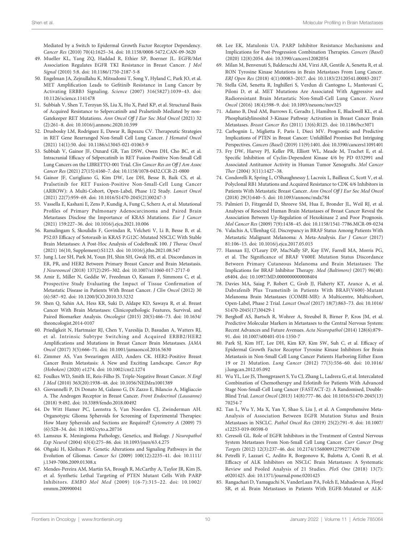<span id="page-11-0"></span>Mediated by a Switch to Epidermal Growth Factor Receptor Dependency. Cancer Res (2010) 70(4):1625–34. doi: [10.1158/0008-5472.CAN-09-3620](https://doi.org/10.1158/0008-5472.CAN-09-3620)

- 49. Mueller KL, Yang ZQ, Haddad R, Ethier SP, Boerner JL. EGFR/Met Association Regulates EGFR TKI Resistance in Breast Cancer. J Mol Signal (2010) 5:8. doi: [10.1186/1750-2187-5-8](https://doi.org/10.1186/1750-2187-5-8)
- 50. Engelman JA, Zejnullahu K, Mitsudomi T, Song Y, Hyland C, Park JO, et al. MET Amplification Leads to Gefitinib Resistance in Lung Cancer by Activating ERBB3 Signaling. Science (2007) 316(5827):1039–43. doi: [10.1126/science.1141478](https://doi.org/10.1126/science.1141478)
- 51. Subbiah V, Shen T, Terzyan SS, Liu X, Hu X, Patel KP, et al. Structural Basis of Acquired Resistance to Selpercatinib and Pralsetinib Mediated by non-Gatekeeper RET Mutations. Ann Oncol Off J Eur Soc Med Oncol (2021) 32 (2):261–8. doi: [10.1016/j.annonc.2020.10.599](https://doi.org/10.1016/j.annonc.2020.10.599)
- 52. Drusbosky LM, Rodriguez E, Dawar R, Ikpeazu CV. Therapeutic Strategies in RET Gene Rearranged Non-Small Cell Lung Cancer. J Hematol Oncol (2021) 14(1):50. doi: [10.1186/s13045-021-01063-9](https://doi.org/10.1186/s13045-021-01063-9)
- 53. Subbiah V, Gainor JF, Oxnard GR, Tan DSW, Owen DH, Cho BC, et al. Intracranial Efficacy of Selpercatinib in RET Fusion-Positive Non-Small Cell Lung Cancers on the LIBRETTO-001 Trial. Clin Cancer Res an Off J Am Assoc Cancer Res (2021) 27(15):4160–7. doi: [10.1158/1078-0432.CCR-21-0800](https://doi.org/10.1158/1078-0432.CCR-21-0800)
- 54. Gainor JF, Curigliano G, Kim DW, Lee DH, Besse B, Baik CS, et al. Pralsetinib for RET Fusion-Positive Non-Small-Cell Lung Cancer (ARROW): A Multi-Cohort, Open-Label, Phase 1/2 Study. Lancet Oncol (2021) 22(7):959–69. doi: [10.1016/S1470-2045\(21\)00247-3](https://doi.org/10.1016/S1470-2045(21)00247-3)
- 55. Vassella E, Kashani E, Zens P, Kundig A, Fung C, Scherz A, et al. Mutational Profiles of Primary Pulmonary Adenocarcinoma and Paired Brain Metastases Disclose the Importance of KRAS Mutations. Eur J Cancer (2021) 159:227–36. doi: [10.1016/j.ejca.2021.10.006](https://doi.org/10.1016/j.ejca.2021.10.006)
- 56. Ramalingam S, Skoulidis F, Govindan R, Velcheti V, Li B, Besse B, et al. P52.03 Efficacy of Sotorasib in KRAS P.G12C-Mutated NSCLC With Stable Brain Metastases: A Post-Hoc Analysis of CodeBreaK 100. J Thorac Oncol (2021) 16(10, Supplement):S1123. doi: [10.1016/j.jtho.2021.08.547](https://doi.org/10.1016/j.jtho.2021.08.547)
- 57. Jung J, Lee SH, Park M, Youn JH, Shin SH, Gwak HS, et al. Discordances in ER, PR, and HER2 Between Primary Breast Cancer and Brain Metastasis. J Neurooncol (2018) 137(2):295–302. doi: [10.1007/s11060-017-2717-0](https://doi.org/10.1007/s11060-017-2717-0)
- 58. Amir E, Miller N, Geddie W, Freedman O, Kassam F, Simmons C, et al. Prospective Study Evaluating the Impact of Tissue Confirmation of Metastatic Disease in Patients With Breast Cancer. J Clin Oncol (2012) 30 (6):587–92. doi: [10.1200/JCO.2010.33.5232](https://doi.org/10.1200/JCO.2010.33.5232)
- 59. Shen Q, Sahin AA, Hess KR, Suki D, Aldape KD, Sawaya R, et al. Breast Cancer With Brain Metastases: Clinicopathologic Features, Survival, and Paired Biomarker Analysis. Oncologist (2015) 20(5):466–73. doi: [10.1634/](https://doi.org/10.1634/theoncologist.2014-0107) [theoncologist.2014-0107](https://doi.org/10.1634/theoncologist.2014-0107)
- 60. Priedigkeit N, Hartmaier RJ, Chen Y, Vareslija D, Basudan A, Watters RJ, et al. Intrinsic Subtype Switching and Acquired ERBB2/HER2 Amplifications and Mutations in Breast Cancer Brain Metastases. JAMA Oncol (2017) 3(5):666–71. doi: [10.1001/jamaoncol.2016.5630](https://doi.org/10.1001/jamaoncol.2016.5630)
- 61. Zimmer AS, Van Swearingen AED, Anders CK. HER2-Positive Breast Cancer Brain Metastasis: A New and Exciting Landscape. Cancer Rep (Hoboken) (2020) e1274. doi: [10.1002/cnr2.1274](https://doi.org/10.1002/cnr2.1274)
- 62. Foulkes WD, Smith IE, Reis-Filho JS. Triple-Negative Breast Cancer. N Engl J Med (2010) 363(20):1938–48. doi: [10.1056/NEJMra1001389](https://doi.org/10.1056/NEJMra1001389)
- 63. Giovannelli P, Di Donato M, Galasso G, Di Zazzo E, Bilancio A, Migliaccio A. The Androgen Receptor in Breast Cancer. Front Endocrinol (Lausanne) (2018) 9:492. doi: [10.3389/fendo.2018.00492](https://doi.org/10.3389/fendo.2018.00492)
- 64. De Witt Hamer PC, Leenstra S, Van Noorden CJ, Zwinderman AH. Organotypic Glioma Spheroids for Screening of Experimental Therapies: How Many Spheroids and Sections are Required? Cytometry A (2009) 75 (6):528–34. doi: [10.1002/cyto.a.20716](https://doi.org/10.1002/cyto.a.20716)
- 65. Lamszus K. Meningioma Pathology, Genetics, and Biology. J Neuropathol Exp Neurol (2004) 63(4):275–86. doi: [10.1093/jnen/63.4.275](https://doi.org/10.1093/jnen/63.4.275)
- 66. Ohgaki H, Kleihues P. Genetic Alterations and Signaling Pathways in the Evolution of Gliomas. Cancer Sci (2009) 100(12):2235–41. doi: [10.1111/](https://doi.org/10.1111/j.1349-7006.2009.01308.x) [j.1349-7006.2009.01308.x](https://doi.org/10.1111/j.1349-7006.2009.01308.x)
- 67. Mendes-Pereira AM, Martin SA, Brough R, McCarthy A, Taylor JR, Kim JS, et al. Synthetic Lethal Targeting of PTEN Mutant Cells With PARP Inhibitors. EMBO Mol Med (2009) 1(6-7):315–22. doi: [10.1002/](https://doi.org/10.1002/emmm.200900041) [emmm.200900041](https://doi.org/10.1002/emmm.200900041)
- 68. Lee EK, Matulonis UA. PARP Inhibitor Resistance Mechanisms and Implications for Post-Progression Combination Therapies. Cancers (Basel) (2020) 12(8):2054. doi: [10.3390/cancers12082054](https://doi.org/10.3390/cancers12082054)
- 69. Milan M, Benvenuti S, Balderacchi AM, Virzi AR, Gentile A, Senetta R, et al. RON Tyrosine Kinase Mutations in Brain Metastases From Lung Cancer. ERJ Open Res (2018) 4(1):00083–2017. doi: [10.1183/23120541.00083-2017](https://doi.org/10.1183/23120541.00083-2017)
- 70. Stella GM, Senetta R, Inghilleri S, Verdun di Cantogno L, Mantovani C, Piloni D, et al. MET Mutations Are Associated With Aggressive and Radioresistant Brain Metastatic Non-Small-Cell Lung Cancer. Neuro Oncol (2016) 18(4):598–9. doi: [10.1093/neuonc/nov325](https://doi.org/10.1093/neuonc/nov325)
- 71. Adamo B, Deal AM, Burrows E, Geradts J, Hamilton E, Blackwell KL, et al. Phosphatidylinositol 3-Kinase Pathway Activation in Breast Cancer Brain Metastases. Breast Cancer Res (2011) 13(6):R125. doi: [10.1186/bcr3071](https://doi.org/10.1186/bcr3071)
- 72. Carbognin L, Miglietta F, Paris I, Dieci MV. Prognostic and Predictive Implications of PTEN in Breast Cancer: Unfulfilled Promises But Intriguing Perspectives. Cancers (Basel) (2019) 11(9):1401. doi: [10.3390/cancers11091401](https://doi.org/10.3390/cancers11091401)
- 73. Fry DW, Harvey PJ, Keller PR, Elliott WL, Meade M, Trachet E, et al. Specific Inhibition of Cyclin-Dependent Kinase 4/6 by PD 0332991 and Associated Antitumor Activity in Human Tumor Xenografts. Mol Cancer Ther (2004) 3(11):1427–38.
- 74. Condorelli R, Spring L, O'Shaughnessy J, Lacroix L, Bailleux C, Scott V, et al. Polyclonal RB1 Mutations and Acquired Resistance to CDK 4/6 Inhibitors in Patients With Metastatic Breast Cancer. Ann Oncol Off J Eur Soc Med Oncol (2018) 29(3):640–5. doi: [10.1093/annonc/mdx784](https://doi.org/10.1093/annonc/mdx784)
- 75. Palmieri D, Fitzgerald D, Shreeve SM, Hua E, Bronder JL, Weil RJ, et al. Analyses of Resected Human Brain Metastases of Breast Cancer Reveal the Association Between Up-Regulation of Hexokinase 2 and Poor Prognosis. Mol Cancer Res (2009) 7(9):1438–45. doi: [10.1158/1541-7786.MCR-09-0234](https://doi.org/10.1158/1541-7786.MCR-09-0234)
- 76. Valachis A, Ullenhag GJ. Discrepancy in BRAF Status Among Patients With Metastatic Malignant Melanoma: A Meta-Analysis. Eur J Cancer (2017) 81:106–15. doi: [10.1016/j.ejca.2017.05.015](https://doi.org/10.1016/j.ejca.2017.05.015)
- 77. Hannan EJ, O'Leary DP, MacNally SP, Kay EW, Farrell MA, Morris PG, et al. The Significance of BRAF V600E Mutation Status Discordance Between Primary Cutaneous Melanoma and Brain Metastases: The Implications for BRAF Inhibitor Therapy. Med (Baltimore) (2017) 96(48): e8404. doi: [10.1097/MD.0000000000008404](https://doi.org/10.1097/MD.0000000000008404)
- 78. Davies MA, Saiag P, Robert C, Grob JJ, Flaherty KT, Arance A, et al. Dabrafenib Plus Trametinib in Patients With BRAF(V600)-Mutant Melanoma Brain Metastases (COMBI-MB): A Multicentre, Multicohort, Open-Label, Phase 2 Trial. Lancet Oncol (2017) 18(7):863–73. doi: [10.1016/](https://doi.org/10.1016/S1470-2045(17)30429-1) [S1470-2045\(17\)30429-1](https://doi.org/10.1016/S1470-2045(17)30429-1)
- 79. Berghoff AS, Bartsch R, Wohrer A, Streubel B, Birner P, Kros JM, et al. Predictive Molecular Markers in Metastases to the Central Nervous System: Recent Advances and Future Avenues. Acta Neuropathol (2014) 128(6):879– 91. doi: [10.1007/s00401-014-1350-7](https://doi.org/10.1007/s00401-014-1350-7)
- 80. Park SJ, Kim HT, Lee DH, Kim KP, Kim SW, Suh C, et al. Efficacy of Epidermal Growth Factor Receptor Tyrosine Kinase Inhibitors for Brain Metastasis in Non-Small Cell Lung Cancer Patients Harboring Either Exon 19 or 21 Mutation. Lung Cancer (2012) 77(3):556–60. doi: [10.1016/](https://doi.org/10.1016/j.lungcan.2012.05.092) [j.lungcan.2012.05.092](https://doi.org/10.1016/j.lungcan.2012.05.092)
- 81. Wu YL, Lee JS, Thongprasert S, Yu CJ, Zhang L, Ladrera G, et al. Intercalated Combination of Chemotherapy and Erlotinib for Patients With Advanced Stage Non-Small-Cell Lung Cancer (FASTACT-2): A Randomised, Double-Blind Trial. Lancet Oncol (2013) 14(8):777–86. doi: [10.1016/S1470-2045\(13\)](https://doi.org/10.1016/S1470-2045(13)70254-7) [70254-7](https://doi.org/10.1016/S1470-2045(13)70254-7)
- 82. Tan L, Wu Y, Ma X, Yan Y, Shao S, Liu J, et al. A Comprehensive Meta-Analysis of Association Between EGFR Mutation Status and Brain Metastases in NSCLC. Pathol Oncol Res (2019) 25(2):791–9. doi: [10.1007/](https://doi.org/10.1007/s12253-019-00598-0) [s12253-019-00598-0](https://doi.org/10.1007/s12253-019-00598-0)
- 83. Ceresoli GL. Role of EGFR Inhibitors in the Treatment of Central Nervous System Metastases From Non-Small Cell Lung Cancer. Curr Cancer Drug Targets (2012) 12(3):237–46. doi: [10.2174/156800912799277430](https://doi.org/10.2174/156800912799277430)
- 84. Petrelli F, Lazzari C, Ardito R, Borgonovo K, Bulotta A, Conti B, et al. Efficacy of ALK Inhibitors on NSCLC Brain Metastases: A Systematic Review and Pooled Analysis of 21 Studies. PloS One (2018) 13(7): e0201425. doi: [10.1371/journal.pone.0201425](https://doi.org/10.1371/journal.pone.0201425)
- 85. Rangachari D, Yamaguchi N, VanderLaan PA, Folch E, Mahadevan A, Floyd SR, et al. Brain Metastases in Patients With EGFR-Mutated or ALK-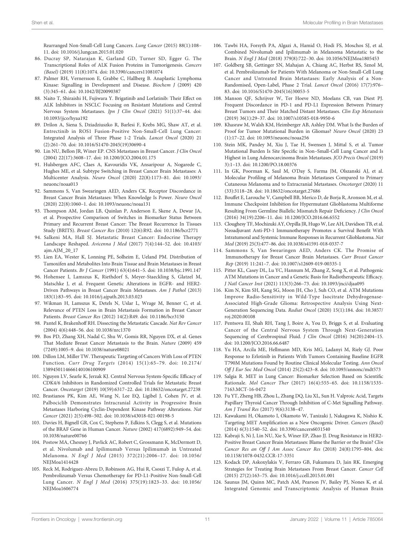<span id="page-12-0"></span>Rearranged Non-Small-Cell Lung Cancers. Lung Cancer (2015) 88(1):108– 11. doi: [10.1016/j.lungcan.2015.01.020](https://doi.org/10.1016/j.lungcan.2015.01.020)

- 86. Ducray SP, Natarajan K, Garland GD, Turner SD, Egger G. The Transcriptional Roles of ALK Fusion Proteins in Tumorigenesis. Cancers (Basel) (2019) 11(8):1074. doi: [10.3390/cancers11081074](https://doi.org/10.3390/cancers11081074)
- 87. Palmer RH, Vernersson E, Grabbe C, Hallberg B. Anaplastic Lymphoma Kinase: Signalling in Development and Disease. Biochem J (2009) 420 (3):345–61. doi: [10.1042/BJ20090387](https://doi.org/10.1042/BJ20090387)
- 88. Naito T, Shiraishi H, Fujiwara Y. Brigatinib and Lorlatinib: Their Effect on ALK Inhibitors in NSCLC Focusing on Resistant Mutations and Central Nervous System Metastases. Jpn J Clin Oncol (2021) 51(1):37–44. doi: [10.1093/jjco/hyaa192](https://doi.org/10.1093/jjco/hyaa192)
- 89. Drilon A, Siena S, Dziadziuszko R, Barlesi F, Krebs MG, Shaw AT, et al. Entrectinib in ROS1 Fusion-Positive Non-Small-Cell Lung Cancer: Integrated Analysis of Three Phase 1-2 Trials. Lancet Oncol (2020) 21 (2):261–70. doi: [10.1016/S1470-2045\(19\)30690-4](https://doi.org/10.1016/S1470-2045(19)30690-4)
- 90. Lin NU, Bellon JR, Winer EP. CNS Metastases in Breast Cancer. J Clin Oncol (2004) 22(17):3608–17. doi: [10.1200/JCO.2004.01.175](https://doi.org/10.1200/JCO.2004.01.175)
- 91. Hulsbergen AFC, Claes A, Kavouridis VK, Ansaripour A, Nogarede C, Hughes ME, et al. Subtype Switching in Breast Cancer Brain Metastases: A Multicenter Analysis. Neuro Oncol (2020) 22(8):1173–81. doi: [10.1093/](https://doi.org/10.1093/neuonc/noaa013) [neuonc/noaa013](https://doi.org/10.1093/neuonc/noaa013)
- 92. Sammons S, Van Swearingen AED, Anders CK. Receptor Discordance in Breast Cancer Brain Metastases: When Knowledge Is Power. Neuro Oncol (2020) 22(8):1060–1. doi: [10.1093/neuonc/noaa131](https://doi.org/10.1093/neuonc/noaa131)
- 93. Thompson AM, Jordan LB, Quinlan P, Anderson E, Skene A, Dewar JA, et al. Prospective Comparison of Switches in Biomarker Status Between Primary and Recurrent Breast Cancer: The Breast Recurrence In Tissues Study (BRITS). Breast Cancer Res (2010) 12(6):R92. doi: [10.1186/bcr2771](https://doi.org/10.1186/bcr2771)
- 94. Salkeni MA, Hall SJ. Metastatic Breast Cancer: Endocrine Therapy Landscape Reshaped. Avicenna J Med (2017) 7(4):144–52. doi: [10.4103/](https://doi.org/10.4103/ajm.AJM_20_17) [ajm.AJM\\_20\\_17](https://doi.org/10.4103/ajm.AJM_20_17)
- 95. Lien EA, Wester K, Lonning PE, Solheim E, Ueland PM. Distribution of Tamoxifen and Metabolites Into Brain Tissue and Brain Metastases in Breast Cancer Patients. Br J Cancer (1991) 63(4):641–5. doi: [10.1038/bjc.1991.147](https://doi.org/10.1038/bjc.1991.147)
- 96. Hohensee I, Lamszus K, Riethdorf S, Meyer-Staeckling S, Glatzel M, Matschke J, et al. Frequent Genetic Alterations in EGFR- and HER2- Driven Pathways in Breast Cancer Brain Metastases. Am J Pathol (2013) 183(1):83–95. doi: [10.1016/j.ajpath.2013.03.023](https://doi.org/10.1016/j.ajpath.2013.03.023)
- 97. Wikman H, Lamszus K, Detels N, Uslar L, Wrage M, Benner C, et al. Relevance of PTEN Loss in Brain Metastasis Formation in Breast Cancer Patients. Breast Cancer Res (2012) 14(2):R49. doi: [10.1186/bcr3150](https://doi.org/10.1186/bcr3150)
- 98. Pantel K, Brakenhoff RH. Dissecting the Metastatic Cascade. Nat Rev Cancer (2004) 4(6):448–56. doi: [10.1038/nrc1370](https://doi.org/10.1038/nrc1370)
- 99. Bos PD, Zhang XH, Nadal C, Shu W, Gomis RR, Nguyen DX, et al. Genes That Mediate Breast Cancer Metastasis to the Brain. Nature (2009) 459 (7249):1005–9. doi: [10.1038/nature08021](https://doi.org/10.1038/nature08021)
- 100. Dillon LM, Miller TW. Therapeutic Targeting of Cancers With Loss of PTEN Function. Curr Drug Targets (2014) 15(1):65–79. doi: [10.2174/](https://doi.org/10.2174/1389450114666140106100909) [1389450114666140106100909](https://doi.org/10.2174/1389450114666140106100909)
- 101. Nguyen LV, Searle K, Jerzak KJ. Central Nervous System-Specific Efficacy of CDK4/6 Inhibitors in Randomized Controlled Trials for Metastatic Breast Cancer. Oncotarget (2019) 10(59):6317–22. doi: [10.18632/oncotarget.27238](https://doi.org/10.18632/oncotarget.27238)
- 102. Brastianos PK, Kim AE, Wang N, Lee EQ, Ligibel J, Cohen JV, et al. Palbociclib Demonstrates Intracranial Activity in Progressive Brain Metastases Harboring Cyclin-Dependent Kinase Pathway Alterations. Nat Cancer (2021) 2(5):498–502. doi: [10.1038/s43018-021-00198-5](https://doi.org/10.1038/s43018-021-00198-5)
- 103. Davies H, Bignell GR, Cox C, Stephens P, Edkins S, Clegg S, et al. Mutations of the BRAF Gene in Human Cancer. Nature (2002) 417(6892):949–54. doi: [10.1038/nature00766](https://doi.org/10.1038/nature00766)
- 104. Postow MA, Chesney J, Pavlick AC, Robert C, Grossmann K, McDermott D, et al. Nivolumab and Ipilimumab Versus Ipilimumab in Untreated Melanoma. N Engl J Med (2015) 372(21):2006–17. doi: [10.1056/](https://doi.org/10.1056/NEJMoa1414428) [NEJMoa1414428](https://doi.org/10.1056/NEJMoa1414428)
- 105. Reck M, Rodriguez-Abreu D, Robinson AG, Hui R, Csoszi T, Fulop A, et al. Pembrolizumab Versus Chemotherapy for PD-L1-Positive Non-Small-Cell Lung Cancer. N Engl J Med (2016) 375(19):1823–33. doi: [10.1056/](https://doi.org/10.1056/NEJMoa1606774) [NEJMoa1606774](https://doi.org/10.1056/NEJMoa1606774)
- 106. Tawbi HA, Forsyth PA, Algazi A, Hamid O, Hodi FS, Moschos SJ, et al. Combined Nivolumab and Ipilimumab in Melanoma Metastatic to the Brain. N Engl J Med (2018) 379(8):722–30. doi: [10.1056/NEJMoa1805453](https://doi.org/10.1056/NEJMoa1805453)
- 107. Goldberg SB, Gettinger SN, Mahajan A, Chiang AC, Herbst RS, Sznol M, et al. Pembrolizumab for Patients With Melanoma or Non-Small-Cell Lung Cancer and Untreated Brain Metastases: Early Analysis of a Non-Randomised, Open-Label, Phase 2 Trial. Lancet Oncol (2016) 17(7):976– 83. doi: [10.1016/S1470-2045\(16\)30053-5](https://doi.org/10.1016/S1470-2045(16)30053-5)
- 108. Manson QF, Schrijver W, Ter Hoeve ND, Moelans CB, van Diest PJ. Frequent Discordance in PD-1 and PD-L1 Expression Between Primary Breast Tumors and Their Matched Distant Metastases. Clin Exp Metastasis (2019) 36(1):29–37. doi: [10.1007/s10585-018-9950-6](https://doi.org/10.1007/s10585-018-9950-6)
- 109. Khasraw M, Walsh KM, Heimberger AB, Ashley DM. What Is the Burden of Proof for Tumor Mutational Burden in Gliomas? Neuro Oncol (2020) 23 (1):17–22. doi: [10.1093/neuonc/noaa256](https://doi.org/10.1093/neuonc/noaa256)
- 110. Stein MK, Pandey M, Xiu J, Tae H, Swensen J, Mittal S, et al. Tumor Mutational Burden Is Site Specific in Non–Small-Cell Lung Cancer and Is Highest in Lung Adenocarcinoma Brain Metastases. JCO Precis Oncol (2019) 3):1–13. doi: [10.1200/PO.18.00376](https://doi.org/10.1200/PO.18.00376)
- 111. In GK, Poorman K, Saul M, O'Day S, Farma JM, Olszanski AJ, et al. Molecular Profiling of Melanoma Brain Metastases Compared to Primary Cutaneous Melanoma and to Extracranial Metastases. Oncotarget (2020) 11 (33):3118–28. doi: [10.18632/oncotarget.27686](https://doi.org/10.18632/oncotarget.27686)
- 112. Bouffet E, Larouche V, Campbell BB, Merico D, de Borja R, Aronson M, et al. Immune Checkpoint Inhibition for Hypermutant Glioblastoma Multiforme Resulting From Germline Biallelic Mismatch Repair Deficiency. J Clin Oncol (2016) 34(19):2206–11. doi: [10.1200/JCO.2016.66.6552](https://doi.org/10.1200/JCO.2016.66.6552)
- 113. Cloughesy TF, Mochizuki AY, Orpilla JR, Hugo W, Lee AH, Davidson TB, et al. Neoadjuvant Anti-PD-1 Immunotherapy Promotes a Survival Benefit With Intratumoral and Systemic Immune Responses in Recurrent Glioblastoma. Nat Med (2019) 25(3):477–86. doi: [10.1038/s41591-018-0337-7](https://doi.org/10.1038/s41591-018-0337-7)
- 114. Sammons S, Van Swearingen AED, Anders CK. The Promise of Immunotherapy for Breast Cancer Brain Metastases. Curr Breast Cancer Rep (2019) 11:241–7. doi: [10.1007/s12609-019-00335-1](https://doi.org/10.1007/s12609-019-00335-1)
- 115. Pitter KL, Casey DL, Lu YC, Hannum M, Zhang Z, Song X, et al. Pathogenic ATM Mutations in Cancer and a Genetic Basis for Radiotherapeutic Efficacy. J Natl Cancer Inst (2021) 113(3):266–73. doi: [10.1093/jnci/djaa095](https://doi.org/10.1093/jnci/djaa095)
- 116. Kim N, Kim SH, Kang SG, Moon JH, Cho J, Suh CO, et al. ATM Mutations Improve Radio-Sensitivity in Wild-Type Isocitrate Dehydrogenase-Associated High-Grade Glioma: Retrospective Analysis Using Next-Generation Sequencing Data. Radiat Oncol (2020) 15(1):184. doi: [10.3857/](https://doi.org/10.3857/roj.2020.00108) [roj.2020.00108](https://doi.org/10.3857/roj.2020.00108)
- 117. Pentsova EI, Shah RH, Tang J, Boire A, You D, Briggs S, et al. Evaluating Cancer of the Central Nervous System Through Next-Generation Sequencing of Cerebrospinal Fluid. J Clin Oncol (2016) 34(20):2404–15. doi: [10.1200/JCO.2016.66.6487](https://doi.org/10.1200/JCO.2016.66.6487)
- 118. Yu HA, Arcila ME, Hellmann MD, Kris MG, Ladanyi M, Riely GJ. Poor Response to Erlotinib in Patients With Tumors Containing Baseline EGFR T790M Mutations Found by Routine Clinical Molecular Testing. Ann Oncol Off J Eur Soc Med Oncol (2014) 25(2):423–8. doi: [10.1093/annonc/mdt573](https://doi.org/10.1093/annonc/mdt573)
- 119. Salgia R. MET in Lung Cancer: Biomarker Selection Based on Scientific Rationale. Mol Cancer Ther (2017) 16(4):555–65. doi: [10.1158/1535-](https://doi.org/10.1158/1535-7163.MCT-16-0472) [7163.MCT-16-0472](https://doi.org/10.1158/1535-7163.MCT-16-0472)
- 120. Fu YT, Zheng HB, Zhou L, Zhang DQ, Liu XL, Sun H. Valproic Acid, Targets Papillary Thyroid Cancer Through Inhibition of C-Met Signalling Pathway. Am J Transl Res (2017) 9(6):3138–47.
- 121. Kawakami H, Okamoto I, Okamoto W, Tanizaki J, Nakagawa K, Nishio K. Targeting MET Amplification as a New Oncogenic Driver. Cancers (Basel) (2014) 6(3):1540–52. doi: [10.3390/cancers6031540](https://doi.org/10.3390/cancers6031540)
- 122. Kabraji S, Ni J, Lin NU, Xie S, Winer EP, Zhao JJ. Drug Resistance in HER2- Positive Breast Cancer Brain Metastases: Blame the Barrier or the Brain? Clin Cancer Res an Off J Am Assoc Cancer Res (2018) 24(8):1795–804. doi: [10.1158/1078-0432.CCR-17-3351](https://doi.org/10.1158/1078-0432.CCR-17-3351)
- 123. Kodack DP, Askoxylakis V, Ferraro GB, Fukumura D, Jain RK. Emerging Strategies for Treating Brain Metastases From Breast Cancer. Cancer Cell (2015) 27(2):163–75. doi: [10.1016/j.ccell.2015.01.001](https://doi.org/10.1016/j.ccell.2015.01.001)
- 124. Saunus JM, Quinn MC, Patch AM, Pearson JV, Bailey PJ, Nones K, et al. Integrated Genomic and Transcriptomic Analysis of Human Brain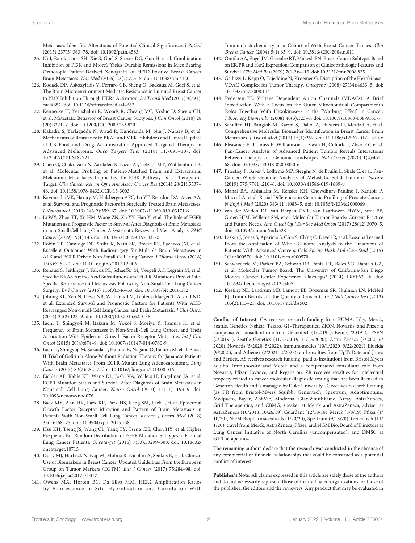<span id="page-13-0"></span>Metastases Identifies Alterations of Potential Clinical Significance. J Pathol (2015) 237(3):363–78. doi: [10.1002/path.4583](https://doi.org/10.1002/path.4583)

- 125. Ni J, Ramkissoon SH, Xie S, Goel S, Stover DG, Guo H, et al. Combination Inhibition of PI3K and Mtorc1 Yields Durable Remissions in Mice Bearing Orthotopic Patient-Derived Xenografts of HER2-Positive Breast Cancer Brain Metastases. Nat Med (2016) 22(7):723–6. doi: [10.1038/nm.4120](https://doi.org/10.1038/nm.4120)
- 126. Kodack DP, Askoxylakis V, Ferraro GB, Sheng Q, Badeaux M, Goel S, et al. The Brain Microenvironment Mediates Resistance in Luminal Breast Cancer to PI3K Inhibition Through HER3 Activation. Sci Transl Med (2017) 9(391): eaal4682. doi: [10.1126/scitranslmed.aal4682](https://doi.org/10.1126/scitranslmed.aal4682)
- 127. Kennecke H, Yerushalmi R, Woods R, Cheang MC, Voduc D, Speers CH, et al. Metastatic Behavior of Breast Cancer Subtypes. J Clin Oncol (2010) 28 (20):3271–7. doi: [10.1200/JCO.2009.25.9820](https://doi.org/10.1200/JCO.2009.25.9820)
- 128. Kakadia S, Yarlagadda N, Awad R, Kundranda M, Niu J, Naraev B, et al. Mechanisms of Resistance to BRAF and MEK Inhibitors and Clinical Update of US Food and Drug Administration-Approved Targeted Therapy in Advanced Melanoma. Onco Targets Ther (2018) 11:7095–107. doi: [10.2147/OTT.S182721](https://doi.org/10.2147/OTT.S182721)
- 129. Chen G, Chakravarti N, Aardalen K, Lazar AJ, Tetzlaff MT, Wubbenhorst B, et al. Molecular Profiling of Patient-Matched Brain and Extracranial Melanoma Metastases Implicates the PI3K Pathway as a Therapeutic Target. Clin Cancer Res an Off J Am Assoc Cancer Res (2014) 20(21):5537– 46. doi: [10.1158/1078-0432.CCR-13-3003](https://doi.org/10.1158/1078-0432.CCR-13-3003)
- 130. Kavouridis VK, Harary M, Hulsbergen AFC, Lo YT, Reardon DA, Aizer AA, et al. Survival and Prognostic Factors in Surgically Treated Brain Metastases. J Neurooncol (2019) 143(2):359–67. doi: [10.1007/s11060-019-03171-6](https://doi.org/10.1007/s11060-019-03171-6)
- 131. Li WY, Zhao TT, Xu HM, Wang ZN, Xu YY, Han Y, et al. The Role of EGFR Mutation as a Prognostic Factor in Survival After Diagnosis of Brain Metastasis in non-Small Cell Lung Cancer: A Systematic Review and Meta-Analysis. BMC Cancer (2019) 19(1):145. doi: [10.1186/s12885-019-5331-z](https://doi.org/10.1186/s12885-019-5331-z)
- 132. Robin TP, Camidge DR, Stuhr K, Nath SK, Breeze RE, Pacheco JM, et al. Excellent Outcomes With Radiosurgery for Multiple Brain Metastases in ALK and EGFR Driven Non-Small Cell Lung Cancer. J Thorac Oncol (2018) 13(5):715–20. doi: [10.1016/j.jtho.2017.12.006](https://doi.org/10.1016/j.jtho.2017.12.006)
- 133. Renaud S, Seitlinger J, Falcoz PE, Schaeffer M, Voegeli AC, Legrain M, et al. Specific KRAS Amino Acid Substitutions and EGFR Mutations Predict Site-Specific Recurrence and Metastasis Following Non-Small-Cell Lung Cancer Surgery. Br J Cancer (2016) 115(3):346–53. doi: [10.1038/bjc.2016.182](https://doi.org/10.1038/bjc.2016.182)
- 134. Johung KL, Yeh N, Desai NB, Williams TM, Lautenschlaeger T, Arvold ND, et al. Extended Survival and Prognostic Factors for Patients With ALK-Rearranged Non-Small-Cell Lung Cancer and Brain Metastasis. J Clin Oncol (2016) 34(2):123–9. doi: [10.1200/JCO.2015.62.0138](https://doi.org/10.1200/JCO.2015.62.0138)
- 135. Iuchi T, Shingyoji M, Itakura M, Yokoi S, Moriya Y, Tamura H, et al. Frequency of Brain Metastases in Non-Small-Cell Lung Cancer, and Their Association With Epidermal Growth Factor Receptor Mutations. Int J Clin Oncol (2015) 20(4):674–9. doi: [10.1007/s10147-014-0760-9](https://doi.org/10.1007/s10147-014-0760-9)
- 136. Iuchi T, Shingyoji M, Sakaida T, Hatano K, Nagano O, Itakura M, et al. Phase II Trial of Gefitinib Alone Without Radiation Therapy for Japanese Patients With Brain Metastases From EGFR-Mutant Lung Adenocarcinoma. Lung Cancer (2013) 82(2):282–7. doi: [10.1016/j.lungcan.2013.08.016](https://doi.org/10.1016/j.lungcan.2013.08.016)
- 137. Eichler AF, Kahle KT, Wang DL, Joshi VA, Willers H, Engelman JA, et al. EGFR Mutation Status and Survival After Diagnosis of Brain Metastasis in Nonsmall Cell Lung Cancer. Neuro Oncol (2010) 12(11):1193–9. doi: [10.1093/neuonc/noq076](https://doi.org/10.1093/neuonc/noq076)
- 138. Baek MY, Ahn HK, Park KR, Park HS, Kang SM, Park I, et al. Epidermal Growth Factor Receptor Mutation and Pattern of Brain Metastasis in Patients With Non-Small Cell Lung Cancer. Korean J Intern Med (2018) 33(1):168–75. doi: [10.3904/kjim.2015.158](https://doi.org/10.3904/kjim.2015.158)
- 139. Hsu KH, Tseng JS, Wang CL, Yang TY, Tseng CH, Chen HY, et al. Higher Frequency But Random Distribution of EGFR Mutation Subtypes in Familial Lung Cancer Patients. Oncotarget (2016) 7(33):53299–308. doi: [10.18632/](https://doi.org/10.18632/oncotarget.10715) [oncotarget.10715](https://doi.org/10.18632/oncotarget.10715)
- 140. Duffy MJ, Harbeck N, Nap M, Molina R, Nicolini A, Senkus E, et al. Clinical Use of Biomarkers in Breast Cancer: Updated Guidelines From the European Group on Tumor Markers (EGTM). Eur J Cancer (2017) 75:284–98. doi: [10.1016/j.ejca.2017.01.017](https://doi.org/10.1016/j.ejca.2017.01.017)
- 141. Owens MA, Horten BC, Da Silva MM. HER2 Amplification Ratios by Fluorescence in Situ Hybridization and Correlation With

Immunohistochemistry in a Cohort of 6556 Breast Cancer Tissues. Clin Breast Cancer (2004) 5(1):63–9. doi: [10.3816/CBC.2004.n.011](https://doi.org/10.3816/CBC.2004.n.011)

- 142. Onitilo AA, Engel JM, Greenlee RT, Mukesh BN. Breast Cancer Subtypes Based on ER/PR and Her2 Expression: Comparison of Clinicopathologic Features and Survival. Clin Med Res (2009) 7(1-2):4–13. doi: [10.3121/cmr.2008.825](https://doi.org/10.3121/cmr.2008.825)
- 143. Galluzzi L, Kepp O, Tajeddine N, Kroemer G. Disruption of the Hexokinase-VDAC Complex for Tumor Therapy. Oncogene (2008) 27(34):4633–5. doi: [10.1038/onc.2008.114](https://doi.org/10.1038/onc.2008.114)
- 144. Pedersen PL. Voltage Dependent Anion Channels (VDACs): A Brief Introduction With a Focus on the Outer Mitochondrial Compartment's Roles Together With Hexokinase-2 in the "Warburg Effect" in Cancer. J Bioenerg Biomembr (2008) 40(3):123–6. doi: [10.1007/s10863-008-9165-7](https://doi.org/10.1007/s10863-008-9165-7)
- 145. Schulten HJ, Bangash M, Karim S, Dallol A, Hussein D, Merdad A, et al. Comprehensive Molecular Biomarker Identification in Breast Cancer Brain Metastases. J Transl Med (2017) 15(1):269. doi: [10.1186/s12967-017-1370-x](https://doi.org/10.1186/s12967-017-1370-x)
- 146. Pleasance E, Titmuss E, Williamson L, Kwan H, Culibrk L, Zhao EY, et al. Pan-Cancer Analysis of Advanced Patient Tumors Reveals Interactions Between Therapy and Genomic Landscapes. Nat Cancer (2020) 1(4):452– 68. doi: [10.1038/s43018-020-0050-6](https://doi.org/10.1038/s43018-020-0050-6)
- 147. Priestley P, Baber J, Lolkema MP, Steeghs N, de Bruijn E, Shale C, et al. Pan-Cancer Whole-Genome Analyses of Metastatic Solid Tumours. Nature (2019) 575(7781):210–6. doi: [10.1038/s41586-019-1689-y](https://doi.org/10.1038/s41586-019-1689-y)
- 148. Mahal BA, Alshalalfa M, Kensler KH, Chowdhury-Paulino I, Kantoff P, Mucci LA, et al. Racial Differences in Genomic Profiling of Prostate Cancer. N Engl J Med (2020) 383(11):1083–5. doi: [10.1056/NEJMc2000069](https://doi.org/10.1056/NEJMc2000069)
- 149. van der Velden DL, van Herpen CML, van Laarhoven HWM, Smit EF, Groen HJM, Willems SM, et al. Molecular Tumor Boards: Current Practice and Future Needs. Ann Oncol Off J Eur Soc Med Oncol (2017) 28(12):3070–5. doi: [10.1093/annonc/mdx528](https://doi.org/10.1093/annonc/mdx528)
- 150. Laskin J, Jones S, Aparicio S, Chia S, Ch'ng C, Deyell R, et al. Lessons Learned From the Application of Whole-Genome Analysis to the Treatment of Patients With Advanced Cancers. Cold Spring Harb Mol Case Stud (2015) 1(1):a000570. doi: [10.1101/mcs.a000570](https://doi.org/10.1101/mcs.a000570)
- 151. Schwaederle M, Parker BA, Schwab RB, Fanta PT, Boles SG, Daniels GA, et al. Molecular Tumor Board: The University of California-San Diego Moores Cancer Center Experience. Oncologist (2014) 19(6):631–6. doi: [10.1634/theoncologist.2013-0405](https://doi.org/10.1634/theoncologist.2013-0405)
- 152. Keating NL, Landrum MB, Lamont EB, Bozeman SR, Shulman LN, McNeil BJ. Tumor Boards and the Quality of Cancer Care. J Natl Cancer Inst (2013) 105(2):113–21. doi: [10.1093/jnci/djs502](https://doi.org/10.1093/jnci/djs502)

Conflict of Interest: CA receives research funding from PUMA, Lilly, Merck, Seattle, Genetics, Nektar, Tesaro, G1-Therapeutics, ZION, Novartis, and Pfizer; a compensated consultant role from Genentech (1/2019–), Eisai (1/2019–), IPSEN (2/2019–), Seattle Genetics (11/15/2019–11/15/2020), Astra Zeneca (3/2020–6/ 2020), Novartis (5/2020–5/2022), Immunomedics (10/1/2020–9/22/2021), Elucida (9/2020), and Athenex (2/2021–2/2023); and royalties from UpToDate and Jones and Bartlett. AS receives research funding (paid to institution) from Bristol Myers Squibb, Immunocore and Merck and a compensated consultant role from Novartis, Pfizer, Iovance, and Regeneron. ZR receives royalties for intellectual property related to cancer molecular diagnostic testing that has been licensed to Genetron Health and is managed by Duke University. JC receives research funding (as PI) from Bristol-Myers Squibb, Genentech, Spectrum, Adaptimmune, Medpacto, Bayer, AbbVie, Moderna, GlaxoSmithKline, Array, AstraZeneca, Grid Therapeutics, and CBMG; speaker at Merck and AstraZeneca; adviser at AstraZeneca (10/2018, 10/26/19), Guardant (12/18/18), Merck (3/8/19), Pfizer (1/ 10/20), NGM Biopharmaceuticals (1/20/20), Spectrum (9/18/20), Genentech (11/ 1/20); travel from Merck, AstraZeneca, Pfizer, and NGM Bio; Board of Directors at Lung Cancer Initiative of North Carolina (uncompensated); and DMSC at G1 Therapeutics.

The remaining authors declare that the research was conducted in the absence of any commercial or financial relationships that could be construed as a potential conflict of interest.

Publisher's Note: All claims expressed in this article are solely those of the authors and do not necessarily represent those of their affiliated organizations, or those of the publisher, the editors and the reviewers. Any product that may be evaluated in